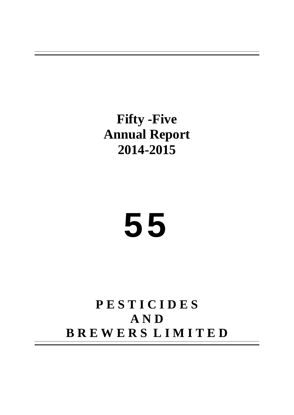**Fifty -Five Annual Report 2014-2015** 

# 55

# **P E S T I C I D E S A N D B R E W E R S L I M I T E D**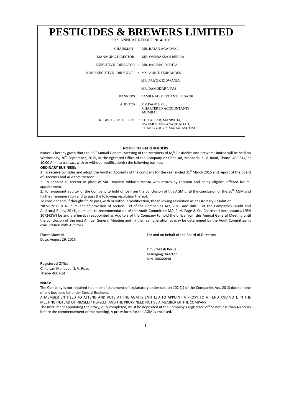| <b>PESTICIDES &amp; BREWERS LIMITED</b>                                                        |
|------------------------------------------------------------------------------------------------|
| 55th ANNUAL REPORT 2014-2015                                                                   |
| CHAIRMAN : MR. RAJAN AGARWAL                                                                   |
| MANAGING DIRECTOR : MR. OMPRAKSAH BERLIA                                                       |
| EXECUTIVE DIRECTOR : MR. PARIMAL MEHTA                                                         |
| NON EXECUTIVE DIRECTOR : MS. ANNIE FERNANDES                                                   |
| MR. PRATIK DIDWANIA                                                                            |
| <b>MR. DAMODAR VYAS</b>                                                                        |
| <b>BANKERS : TAMILNAD MERCANTILE BANK</b>                                                      |
| $AUDITOR$ : P.V.PAGE & Co.<br><b>CHARTERED ACCOUNTANTS</b><br>MUMBAL                           |
| REGISTERED OFFICE : CHITALSAR, MANPADA,<br>SWAMI VIVEKANAND ROAD,<br>THANE-400 607 MAHARASHTRA |
|                                                                                                |

# **NOTICE TO SHAREHOLDERS**

Notice is hereby given that the 55<sup>th</sup> Annual General Meeting of the Members of M/s Pesticides and Brewers Limited will be held on Wednesday, 30<sup>th</sup> September, 2015, at the egistered Office of the Company viz Chitalsar, Manpada, S. V. Road, Thane- 400 614, at 10.00 A.m. to transact with or without modification(s) the following business:

# **ORDINARY BUSINESS:**

1. To receive consider and adopt the Audited Accounts of the company for the year ended 31<sup>st</sup> March 2015 and report of the Board of Directors and Auditors thereon.

2. To appoint a Director in place of Shri. Parimal Vibhash Mehta who retires by rotation and being eligible, offered for re‐ appointment.

3. To re-appoint auditor of the Company to hold office from the conclusion of this AGM until the conclusion of the 56<sup>th</sup> AGM and fix their remuneration and to pass the following resolution thereof.

To consider and, if thought fit, to pass, with or without modification, the following resolution as an Ordinary Resolution:

"RESOLVED THAT pursuant of provision of section 139 of the Companies Act, 2013 and Rule 6 of the Companies (Audit and Auditors) Rules, 2014., pursuant to recommendation of the Audit Committee M/s P. V. Page & Co. Chartered Accountants, (FRN 107243W) be and are hereby reappointed as Auditors of the Company to hold the office from this Annual General Meeting until the conclusion of the next Annual General Meeting and fix their remuneration as may be determined by the Audit Committee in consultation with Auditors.

Date: August 29, 2015

Place: Mumbai For and on behalf of the Board of Directors

Om Prakash Berlia Managing Director DIN‐ 00646890

# **Registered Office:**

Chitalsar, Manpada, S. V. Road, Thane‐ 400 614

# **Notes:**

The Company is not required to annex of statement of explanatory under section 102 (1) of the Companies Act, 2013 due to none of any business fall under Special Business.

A MEMBER ENTITLED TO ATTEND AND VOTE AT THE AGM IS ENTITLED TO APPOINT A PROXY TO ATTEND AND VOTE IN THE MEETING INSTEAD OF HIMSELF/ HERSELF, AND THE PROXY NEED NOT BE A MEMBER OF THE COMPANY.

The instrument appointing the proxy, duly completed, must be deposited at the Company's registered office not less than 48 hours before the commencement of the meeting. A proxy form for the AGM is enclosed.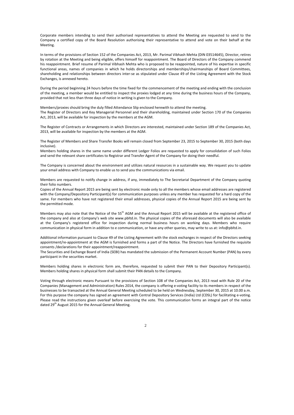Corporate members intending to send their authorised representatives to attend the Meeting are requested to send to the Company a certified copy of the Board Resolution authorising their representative to attend and vote on their behalf at the Meeting.

In terms of the provisions of Section 152 of the Companies Act, 2013, Mr. Parimal Vibhash Mehta (DIN 03514645), Director, retires by rotation at the Meeting and being eligible, offers himself for reappointment. The Board of Directors of the Company commend his reappointment. Brief resume of Parimal Vibhash Mehta who is proposed to be reappointed, nature of his expertise in specific functional areas, names of companies in which he holds directorships and memberships/chairmanships of Board Committees, shareholding and relationships between directors inter‐se as stipulated under Clause 49 of the Listing Agreement with the Stock Exchanges, is annexed hereto.

During the period beginning 24 hours before the time fixed for the commencement of the meeting and ending with the conclusion of the meeting, a member would be entitled to inspect the proxies lodged at any time during the business hours of the Company, provided that not less than three days of notice in writing is given to the Company.

Members/proxies should bring the duly filled Attendance Slip enclosed herewith to attend the meeting. The Register of Directors and Key Managerial Personnel and their shareholding, maintained under Section 170 of the Companies Act, 2013, will be available for inspection by the members at the AGM.

The Register of Contracts or Arrangements in which Directors are interested, maintained under Section 189 of the Companies Act, 2013, will be available for inspection by the members at the AGM.

The Register of Members and Share Transfer Books will remain closed from September 23, 2015 to September 30, 2015 (both days inclusive).

Members holding shares in the same name under different Ledger Folios are requested to apply for consolidation of such Folios and send the relevant share certificates to Registrar and Transfer Agent of the Company for doing their needful.

The Company is concerned about the environment and utilizes natural resources in a sustainable way. We request you to update your email address with Company to enable us to send you the communications via email.

Members are requested to notify change in address, if any, immediately to The Secretarial Department of the Company quoting their folio numbers.

Copies of the Annual Report 2015 are being sent by electronic mode only to all the members whose email addresses are registered with the Company/Depository Participant(s) for communication purposes unless any member has requested for a hard copy of the same. For members who have not registered their email addresses, physical copies of the Annual Report 2015 are being sent by the permitted mode.

Members may also note that the Notice of the 55<sup>th</sup> AGM and the Annual Report 2015 will be available at the registered office of the company and also at Company's web site www.pbltd.in. The physical copies of the aforesaid documents will also be available at the Company's registered office for inspection during normal business hours on working days. Members who require communication in physical form in addition to e communication, or have any other queries, may write to us at: info@pbltd.in.

Additional information pursuant to Clause 49 of the Listing Agreement with the stock exchanges in respect of the Directors seeking appointment/re‐appointment at the AGM is furnished and forms a part of the Notice. The Directors have furnished the requisite consents /declarations for their appointment/reappointment.

The Securities and Exchange Board of India (SEBI) has mandated the submission of the Permanent Account Number (PAN) by every participant in the securities market.

Members holding shares in electronic form are, therefore, requested to submit their PAN to their Depository Participant(s). Members holding shares in physical form shall submit their PAN details to the Company.

Voting through electronic means Pursuant to the provisions of Section 108 of the Companies Act, 2013 read with Rule 20 of the Companies (Management and Administration) Rules 2014, the company is offering e‐voting facility to its members in respect of the businesses to be transacted at the Annual General Meeting scheduled to be held on Wednesday, September 30, 2015 at 10.00 a.m. For this purpose the company has signed an agreement with Central Depository Services (India) Ltd (CDSL) for facilitating e‐voting. Please read the instructions given overleaf before exercising the vote. This communication forms an integral part of the notice dated 29<sup>th</sup> August 2015 for the Annual General Meeting.

 $\overline{2}$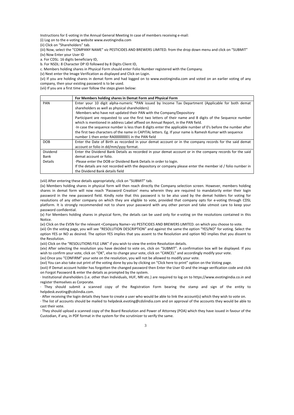Instructions for E-voting in the Annual General Meeting In case of members receiving e-mail:

(i) Log on to the e‐voting website www.evotingindia.com

(ii) Click on "Shareholders" tab.

(iii) Now, select the "COMPANY NAME" viz PESTICIDES AND BREWERS LIMITED. from the drop down menu and click on "SUBMIT"

(iv) Now Enter your User ID

a. For CDSL: 16 digits beneficiary ID,

b. For NSDL: 8 Character DP ID followed by 8 Digits Client ID,

c. Members holding shares in Physical Form should enter Folio Number registered with the Company.

(v) Next enter the Image Verification as displayed and Click on Login.

(vi) If you are holding shares in demat form and had logged on to www.evotingindia.com and voted on an earlier voting of any company, then your existing password is to be used.

(vii) If you are a first time user follow the steps given below:

|            | For Members holding shares in Demat Form and Physical Form                                                   |
|------------|--------------------------------------------------------------------------------------------------------------|
| <b>PAN</b> | Enter your 10 digit alpha-numeric *PAN issued by Income Tax Department (Applicable for both demat            |
|            | shareholders as well as physical shareholders)                                                               |
|            | •Members who have not updated their PAN with the Company/Depository                                          |
|            | Participant are requested to use the first two letters of their name and 8 digits of the Sequence number     |
|            | which is mentioned in address Label affixed on Annual Report, in the PAN field.                              |
|            | In case the sequence number is less than 8 digits enter the applicable number of 0's before the number after |
|            | the first two characters of the name in CAPITAL letters. Eg. If your name is Ramesh Kumar with sequence      |
|            | number 1 then enter RA00000001 in the PAN field                                                              |
| <b>DOB</b> | Enter the Date of Birth as recorded in your demat account or in the company records for the said demat       |
|            | account or folio in dd/mm/yyyy format.                                                                       |
| Dividend   | Enter the Dividend Bank Details as recorded in your demat account or in the company records for the said     |
| Bank       | demat account or folio.                                                                                      |
| Details    | . Please enter the DOB or Dividend Bank Details in order to login.                                           |
|            | If the details are not recorded with the depository or company please enter the member id / folio number in  |
|            | the Dividend Bank details field                                                                              |

(viii) After entering these details appropriately, click on "SUBMIT" tab.

(ix) Members holding shares in physical form will then reach directly the Company selection screen. However, members holding shares in demat form will now reach 'Password Creation' menu wherein they are required to mandatorily enter their login password in the new password field. Kindly note that this password is to be also used by the demat holders for voting for resolutions of any other company on which they are eligible to vote, provided that company opts for e‐voting through CDSL platform. It is strongly recommended not to share your password with any other person and take utmost care to keep your password confidential.

(x) For Members holding shares in physical form, the details can be used only for e‐voting on the resolutions contained in this Notice.

(xi) Click on the EVSN for the relevant <Company Name> viz PESTICIDES AND BREWERS LIMITED. on which you choose to vote.

(xii) On the voting page, you will see "RESOLUTION DESCRIPTION" and against the same the option "YES/NO" for voting. Select the option YES or NO as desired. The option YES implies that you assent to the Resolution and option NO implies that you dissent to the Resolution.

(xiii) Click on the "RESOLUTIONS FILE LINK" if you wish to view the entire Resolution details.

(xiv) After selecting the resolution you have decided to vote on, click on "SUBMIT". A confirmation box will be displayed. If you wish to confirm your vote, click on "OK", else to change your vote, click on "CANCEL" and accordingly modify your vote.

(xv) Once you "CONFIRM" your vote on the resolution, you will not be allowed to modify your vote.

(xvi) You can also take out print of the voting done by you by clicking on "Click here to print" option on the Voting page.

(xvii) If Demat account holder has forgotten the changed password then Enter the User ID and the image verification code and click on Forgot Password & enter the details as prompted by the system.

∙ Institutional shareholders (i.e. other than Individuals, HUF, NRI etc.) are required to log on to https://www.evotingindia.co.in and register themselves as Corporate.

∙ They should submit a scanned copy of the Registration Form bearing the stamp and sign of the entity to helpdesk.evoting@cdslindia.com.

∙ After receiving the login details they have to create a user who would be able to link the account(s) which they wish to vote on.

∙ The list of accounts should be mailed to helpdesk.evoting@cdslindia.com and on approval of the accounts they would be able to cast their vote.

∙ They should upload a scanned copy of the Board Resolution and Power of Attorney (POA) which they have issued in favour of the Custodian, if any, in PDF format in the system for the scrutinizer to verify the same.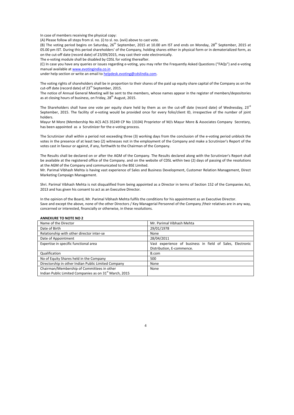In case of members receiving the physical copy:

(A) Please follow all steps from sl. no. (i) to sl. no. (xvii) above to cast vote.

(B) The voting period begins on Saturday,  $26^{th}$  September, 2015 at 10.00 am IST and ends on Monday,  $28^{th}$  September, 2015 at 05.00 pm IST. During this period shareholders' of the Company, holding shares either in physical form or in dematerialized form, as on the cut‐off date (record date) of 23/09/2015, may cast their vote electronically.

The e-voting module shall be disabled by CDSL for voting thereafter.

(C) In case you have any queries or issues regarding e‐voting, you may refer the Frequently Asked Questions ("FAQs") and e‐voting manual available at www.evotingindia.co.in

under help section or write an email to helpdesk.evoting@cdslindia.com.

The voting rights of shareholders shall be in proportion to their shares of the paid up equity share capital of the Company as on the cut-off date (record date) of 23<sup>rd</sup> September, 2015.

The notice of Annual General Meeting will be sent to the members, whose names appear in the register of members/depositories as at closing hours of business, on Friday, 28<sup>th</sup> August, 2015.

The Shareholders shall have one vote per equity share held by them as on the cut-off date (record date) of Wednesday,  $23^{rd}$ September, 2015. The facility of e-voting would be provided once for every folio/client ID, irrespective of the number of joint holders.

Mayur M More (Membership No ACS ACS 35249 CP No 13104) Proprietor of M/s Mayur More & Associates Company Secretary, has been appointed as a Scrutinizer for the e-voting process.

The Scrutinizer shall within a period not exceeding three (3) working days from the conclusion of the e‐voting period unblock the votes in the presence of at least two (2) witnesses not in the employment of the Company and make a Scrutinizer's Report of the votes cast in favour or against, if any, forthwith to the Chairman of the Company.

The Results shall be declared on or after the AGM of the Company. The Results declared along with the Scrutinizer's Report shall be available at the registered office of the Company. and on the website of CDSL within two (2) days of passing of the resolutions at the AGM of the Company and communicated to the BSE Limited.

Mr. Parimal Vibhash Mehta is having vast experience of Sales and Business Development, Customer Relation Management, Direct Marketing Campaign Management.

Shri. Parimal Vibhash Mehta is not disqualified from being appointed as a Director in terms of Section 152 of the Companies Act, 2013 and has given his consent to act as an Executive Director.

In the opinion of the Board, Mr. Parimal Vibhash Mehta fulfils the conditions for his appointment as an Executive Director. Save and except the above, none of the other Directors / Key Managerial Personnel of the Company /their relatives are in any way, concerned or interested, financially or otherwise, in these resolutions.

# **ANNEXURE TO NOTE NO 2**

| Name of the Director                                               | Mr. Parimal Vibhash Mehta                                 |  |  |  |
|--------------------------------------------------------------------|-----------------------------------------------------------|--|--|--|
| Date of Birth                                                      | 29/01/1978                                                |  |  |  |
| Relationship with other director inter-se                          | None                                                      |  |  |  |
| Date of Appointment                                                | 28/04/2011                                                |  |  |  |
| Expertise in specific functional area                              | Vast experience of business in field of Sales, Electronic |  |  |  |
|                                                                    | Distribution, E-commence.                                 |  |  |  |
| Qualification                                                      | B.com                                                     |  |  |  |
| No of Equity Shares held in the Company                            | 500                                                       |  |  |  |
| Directorship in other Indian Public Limited Company                | None                                                      |  |  |  |
| Chairman/Membership of Committees in other                         | None                                                      |  |  |  |
| Indian Public Limited Companies as on 31 <sup>st</sup> March, 2015 |                                                           |  |  |  |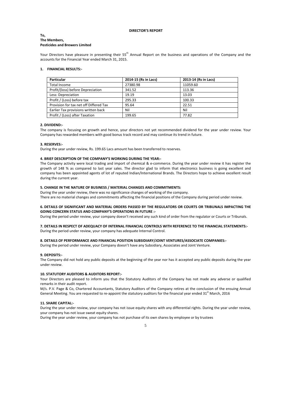# **DIRECTOR'S REPORT**

# **To, The Members, Pesticides and Brewers Limited**

Your Directors have pleasure in presenting their 55<sup>th</sup> Annual Report on the business and operations of the Company and the accounts for the Financial Year ended March 31, 2015.

# **1. FINANCIAL RESULTS:‐**

| <b>Particular</b>                      | 2014-15 (Rs in Lacs) | 2013-14 (Rs in Lacs) |
|----------------------------------------|----------------------|----------------------|
| <b>Total Income</b>                    | 27380.98             | 11059.60             |
| Profit/(loss) before Depreciation      | 341.52               | 113.36               |
| Less: Depreciation                     | 19.19                | 13.03                |
| Profit / (Loss) before tax             | 295.33               | 100.33               |
| Provision for tax net off Differed Tax | 95.64                | 22.51                |
| Earlier Tax provisions written back    | Nil                  | Nil                  |
| Profit / (Loss) after Taxation         | 199.65               | 77.82                |

# **2. DIVIDEND:‐**

The company is focusing on growth and hence, your directors not yet recommended dividend for the year under review. Your Company has rewarded members with good bonus track record and may continue its trend in future.

# **3. RESERVES:‐**

During the year under review, Rs. 199.65 Lacs amount has been transferred to reserves.

# **4. BRIEF DESCRIPTION OF THE COMPANY'S WORKING DURING THE YEAR:‐**

The Company activity were local trading and import of chemical & e-commerce. During the year under review it has register the growth of 148 % as compared to last year sales. The director glad to inform that electronics business is going excellent and company has been appointed agents of lot of reputed Indian/International Brands. The Directors hope to achieve excellent result during the current year.

# **5. CHANGE IN THE NATURE OF BUSINESS / MATERIAL CHANGES AND COMMITMENTS:**

During the year under review, there was no significance changes of working of the company.

There are no material changes and commitments affecting the financial positions of the Company during period under review.

# 6. DETAILS OF SIGNIFICANT AND MATERIAL ORDERS PASSED BY THE REGULATORS OR COURTS OR TRIBUNALS IMPACTING THE **GOING CONCERN STATUS AND COMPANY'S OPERATIONS IN FUTURE :‐**

During the period under review, your company doesn't received any such kind of order from the regulator or Courts or Tribunals.

# 7. DETAILS IN RESPECT OF ADEQUACY OF INTERNAL FINANCIAL CONTROLS WITH REFERENCE TO THE FINANCIAL STATEMENTS:-During the period under review, your company has adequate Internal Control.

# **8. DETAILS OF PERFORMANCE AND FINANCIAL POSITION SUBSIDIARY/JOINT VENTURES/ASSOCIATE COMPANIES:‐**

During the period under review, your Company doesn't have any Subsidiary, Associates and Joint Venture.

# **9. DEPOSITS:‐**

The Company did not hold any public deposits at the beginning of the year nor has it accepted any public deposits during the year under review.

# **10. STATUTORY AUDITORS & AUDITORS REPORT:‐**

Your Directors are pleased to inform you that the Statutory Auditors of the Company has not made any adverse or qualified remarks in their audit report.

M/s. P.V. Page & Co, Chartered Accountants, Statutory Auditors of the Company retires at the conclusion of the ensuing Annual General Meeting. You are requested to re-appoint the statutory auditors for the financial year ended 31<sup>st</sup> March, 2016

# **11. SHARE CAPITAL:‐**

During the year under review, your company has not issue equity shares with any differential rights. During the year under review, your company has not issue sweat equity shares.

During the year under review, your company has not purchase of its own shares by employee or by trustees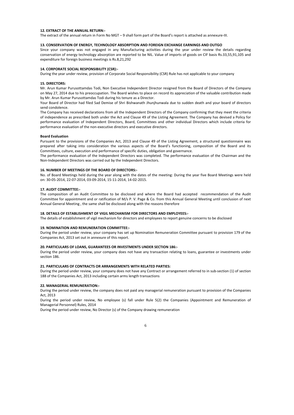# **12. EXTRACT OF THE ANNUAL RETURN:‐**

The extract of the annual return in Form No MGT – 9 shall form part of the Board's report is attached as annexure‐III.

# **13. CONSERVATION OF ENERGY, TECHNOLOGY ABSORPTION AND FOREIGN EXCHANGE EARNINGS AND OUTGO**

Since your company was not engaged in any Manufacturing activities during the year under review the details regarding conservation of energy technology absorption are reported to be NIL. Value of imports of goods on CIF basis Rs.33,55,91,105 and expenditure for foreign business meetings is Rs.8,21,292

# **14. CORPORATE SOCIAL RESPONSIBILITY (CSR):‐**

During the year under review, provision of Corporate Social Responsibility (CSR) Rule has not applicable to your company

# **15. DIRECTORS:**

Mr. Arun Kumar Purusottamdas Todi, Non Executive Independent Director resigned from the Board of Directors of the Company on May 27, 2014 due to his preoccupation. The Board wishes to place on record its appreciation of the valuable contribution made by Mr. Arun Kumar Purusottamdas Todi during his tenure as a Director.

Your Board of Director had filed Sad Demise of Shri Bishwanath Jhunjhunwala due to sudden death and your board of directors send condolence.

The Company has received declarations from all the Independent Directors of the Company confirming that they meet the criteria of independence as prescribed both under the Act and Clause 49 of the Listing Agreement. The Company has devised a Policy for performance evaluation of Independent Directors, Board, Committees and other individual Directors which include criteria for performance evaluation of the non‐executive directors and executive directors.

# **Board Evaluation**

Pursuant to the provisions of the Companies Act, 2013 and Clause 49 of the Listing Agreement, a structured questionnaire was prepared after taking into consideration the various aspects of the Board's functioning, composition of the Board and its Committees, culture, execution and performance of specific duties, obligation and governance.

The performance evaluation of the Independent Directors was completed. The performance evaluation of the Chairman and the Non‐Independent Directors was carried out by the Independent Directors.

# **16. NUMBER OF MEETINGS OF THE BOARD OF DIRECTORS:‐**

No. of Board Meetings held during the year along with the dates of the meeting: During the year five Board Meetings were held on: 30‐05‐2014, 22‐07‐2014, 03‐09‐2014, 15‐11‐2014, 14‐02‐2015.

# **17. AUDIT COMMITTEE:‐**

The composition of an Audit Committee to be disclosed and where the Board had accepted recommendation of the Audit Committee for appointment and or ratification of M/s P. V. Page & Co. from this Annual General Meeting until conclusion of next Annual General Meeting , the same shall be disclosed along with the reasons therefore

# **18. DETAILS OF ESTABLISHMENT OF VIGIL MECHANISM FOR DIRECTORS AND EMPLOYEES:‐**

The details of establishment of vigil mechanism for directors and employees to report genuine concerns to be disclosed

#### **19. NOMINATION AND REMUNERATION COMMITTEE:‐**

During the period under review, your company has set up Nomination Remuneration Committee pursuant to provision 179 of the Companies Act, 2013 set out in annexure of this report.

# **20. PARTICULARS OF LOANS, GUARANTEES OR INVESTMENTS UNDER SECTION 186:‐**

During the period under review, your company does not have any transaction relating to loans, guarantee or investments under section 186.

# **21. PARTICULARS OF CONTRACTS OR ARRANGEMENTS WITH RELATED PARTIES:**

During the period under review, your company does not have any Contract or arrangement referred to in sub‐section (1) of section 188 of the Companies Act, 2013 including certain arms length transactions

# **22. MANAGERIAL REMUNERATION:‐**

During the period under review, the company does not paid any managerial remuneration pursuant to provision of the Companies Act, 2013

During the period under review, No employee (s) fall under Rule 5(2) the Companies (Appointment and Remuneration of Managerial Personnel) Rules, 2014

During the period under review, No Director (s) of the Company drawing remuneration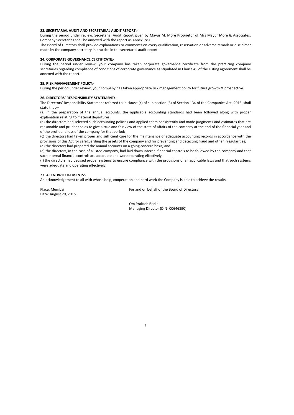# **23. SECRETARIAL AUDIT AND SECRETARIAL AUDIT REPORT:‐**

During the period under review, Secretarial Audit Report given by Mayur M. More Proprietor of M/s Mayur More & Associates, Company Secretaries shall be annexed with the report as Annexure‐I.

The Board of Directors shall provide explanations or comments on every qualification, reservation or adverse remark or disclaimer made by the company secretary in practice in the secretarial audit report.

# **24. CORPORATE GOVERNANCE CERTIFICATE:‐**

During the period under review, your company has taken corporate governance certificate from the practicing company secretaries regarding compliance of conditions of corporate governance as stipulated in Clause 49 of the Listing agreement shall be annexed with the report.

# **25. RISK MANAGEMENT POLICY:‐**

During the period under review, your company has taken appropriate risk management policy for future growth & prospective

# **26. DIRECTORS' RESPONSIBILITY STATEMENT:‐**

The Directors' Responsibility Statement referred to in clause (c) of sub-section (3) of Section 134 of the Companies Act, 2013, shall state that—

(a) in the preparation of the annual accounts, the applicable accounting standards had been followed along with proper explanation relating to material departures;

(b) the directors had selected such accounting policies and applied them consistently and made judgments and estimates that are reasonable and prudent so as to give a true and fair view of the state of affairs of the company at the end of the financial year and of the profit and loss of the company for that period;

(c) the directors had taken proper and sufficient care for the maintenance of adequate accounting records in accordance with the provisions of this Act for safeguarding the assets of the company and for preventing and detecting fraud and other irregularities; (d) the directors had prepared the annual accounts on a going concern basis; and

(e) the directors, in the case of a listed company, had laid down internal financial controls to be followed by the company and that such internal financial controls are adequate and were operating effectively.

(f) the directors had devised proper systems to ensure compliance with the provisions of all applicable laws and that such systems were adequate and operating effectively.

# **27. ACKNOWLEDGEMENTS:‐**

An acknowledgement to all with whose help, cooperation and hard work the Company is able to achieve the results.

Date: August 29, 2015

Place: Mumbai For and on behalf of the Board of Directors

Om Prakash Berlia Managing Director (DIN‐ 00646890)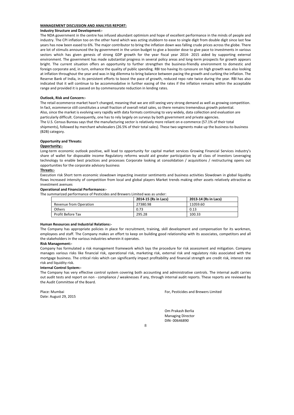# **MANAGEMENT DISCUSSION AND ANALYSIS REPORT:**

# **Industry Structure and Development:‐**

The NDA government in the centre has infused abundant optimism and hope of excellent performance in the minds of people and industry. The CPI inflation too on the other hand which was acting stubborn to ease to single digit from double digit since last few years has now been eased to 6%. The major contributor to bring the inflation down was falling crude prices across the globe. There are lot of stimulis announced the by government in the union budget to give a booster dose to give pace to investments in various sectors which has given genesis of strong GDP growth for the year fiscal year 2014-2015 aided by supporting external environment. The government has made substantial progress in several policy areas and long-term prospects for growth appears bright. The current situation offers an opportunity to further strengthen the business-friendly environment to domestic and foreign corporate and, in turn, enhance the quality of public spending. RBI too having its cynosure on high growth was also looking at inflation throughout the year and was in big dilemma to bring balance between pacing the growth and curbing the inflation. The Reserve Bank of India, in its persistent efforts to boost the pace of growth, reduced repo rate twice during the year. RBI has also indicated that it will continue to be accommodative in further easing of the rates if the inflation remains within the acceptable range and provided it is passed on by commensurate reduction in lending rates.

# **Outlook, Risk and Concern:‐**

The retail ecommerce market hasn't changed, meaning that we are still seeing very strong demand as well as growing competition. In fact, ecommerce still constitutes a small fraction of overall retail sales, so there remains tremendous growth potential. Also, since the market is evolving very rapidly with data formats continuing to vary widely, data collection and evaluation are particularly difficult. Consequently, one has to rely largely on surveys by both government and private agencies. The U.S. Census Bureau says that the manufacturing sector is relatively more reliant on e-commerce (57.1% of their total shipments), followed by merchant wholesalers (26.5% of their total sales). These two segments make up the business-to-business (B2B) category.

# **Opportunity and Threats:**

# **Opportunity:‐**

Long-term economic outlook positive, will lead to opportunity for capital market services Growing Financial Services industry's share of wallet for disposable income Regulatory reforms would aid greater participation by all class of investors Leveraging technology to enable best practices and processes Corporate looking at consolidation / acquisitions / restructuring opens out opportunities for the corporate advisory business

# **Threats:‐**

Execution risk Short term economic slowdown impacting investor sentiments and business activities Slowdown in global liquidity flows Increased intensity of competition from local and global players Market trends making other assets relatively attractive as investment avenues

## **Operational and Financial Performance:‐**

The summarized performance of Pesticides and Brewers Limited was as under:

|                        | 2014-15 (Rs in Lacs) | 2013-14 (Rs in Lacs) |
|------------------------|----------------------|----------------------|
| Revenue from Operation | 27380.98             | 11059.60             |
| Others                 | 0.73                 | 0.13                 |
| Profit Before Tax      | 295.28               | 100.33               |

# **Human Resources and Industrial Relations:‐**

The Company has appropriate policies in place for recruitment, training, skill development and compensation for its workmen, employees and staff. The Company makes an effort to keep on building good relationship with its associates, competitors and all the stakeholders in the various industries wherein it operates.

#### **Risk Management:‐**

Company has formulated a risk management framework which lays the procedure for risk assessment and mitigation. Company manages various risks like financial risk, operational risk, marketing risk, external risk and regulatory risks associated with the mortgage business. The critical risks which can significantly impact profitability and financial strength are credit risk, interest rate risk and liquidity risk.

# **Internal Control System:‐**

The Company has very effective control system covering both accounting and administrative controls. The internal audit carries out audit tests and report on non ‐ compliance / weaknesses if any, through internal audit reports. These reports are reviewed by the Audit Committee of the Board.

Date: August 29, 2015

Place: Mumbai For, Pesticides and Brewers Limited

 Om Prakash Berlia Managing Director DIN‐ 00646890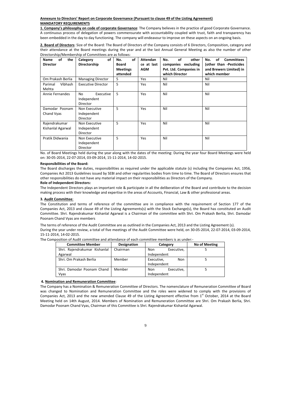# **Annexure to Directors' Report on Corporate Governance (Pursuant to clause 49 of the Listing Agreement) MANDATORY REQUIREMENTS**

**1. Company's philosophy on code of corporate Governance**: The Company believes in the practice of good Corporate Governance. A continuous process of delegation of powers commensurate with accountability coupled with trust, faith and transparency has been embedded in the day to day functioning. The company will endeavour to improve on these aspects on an ongoing basis.

**2. Board of Directors**: Size of the Board: The Board of Directors of the Company consists of 6 Directors, Composition, category and their attendance at the Board meetings during the year and at the last Annual General Meeting as also the number of other Directorship/Membership of Committees are as follows:

| оf<br>the<br>Name      | of<br>Category            | of<br>No.       | <b>Attendan</b> | of<br>other<br>No.     | of<br><b>Committees</b><br>No. |
|------------------------|---------------------------|-----------------|-----------------|------------------------|--------------------------------|
| <b>Director</b>        | Directorship              | Board           | ce at last      | companies excluding    | (other than -Pesticides        |
|                        |                           | <b>Meetings</b> | <b>AGM</b>      | Pvt. Ltd. Companies in | and Brewers Limited) in        |
|                        |                           | attended        |                 | which Director         | which member                   |
| Om Prakash Berlia      | <b>Managing Director</b>  | 5               | Yes             | Nil                    | Nil                            |
| Vibhash<br>Parimal     | <b>Executive Director</b> | 5               | Yes             | Nil                    | Nil                            |
| Mehta                  |                           |                 |                 |                        |                                |
| <b>Annie Fernandes</b> | Executive<br><b>No</b>    | 5               | Yes             | Nil                    | Nil                            |
|                        | Independent               |                 |                 |                        |                                |
|                        | Director                  |                 |                 |                        |                                |
| Damodar Poonam         | Non Executive             | 5               | Yes             | Nil                    | Nil                            |
| Chand Vyas             | Independent               |                 |                 |                        |                                |
|                        | Director                  |                 |                 |                        |                                |
| Rajendrakumar          | Non Executive             | 5               | Yes             | Nil                    | Nil                            |
| Kishanlal Agarwal      | Independent               |                 |                 |                        |                                |
|                        | Director                  |                 |                 |                        |                                |
| Pratik Didwania        | Non Executive             | 5               | Yes             | Nil                    | Nil                            |
|                        | Independent               |                 |                 |                        |                                |
|                        | Director                  |                 |                 |                        |                                |

No. of Board Meetings held during the year along with the dates of the meeting: During the year four Board Meetings were held on: 30‐05‐2014, 22‐07‐2014, 03‐09‐2014, 15‐11‐2014, 14‐02‐2015.

# **Responsibilities of the Board:**

The Board discharges the duties, responsibilities as required under the applicable statute (s) including the Companies Act, 1956, Companies Act 2013 Guidelines issued by SEBI and other regularities bodies from time to time. The Board of Directors ensures that other responsibilities do not have any material impact on their responsibilities as Directors of the Company.

# **Role of Independent Directors:**

The Independent Directors plays an important role & participate in all the deliberation of the Board and contribute to the decision making process with their knowledge and expertise in the areas of Accounts, Financial, Law & other professional areas.

# **3. Audit Committee**:

The Constitution and terms of reference of the committee are in compliance with the requirement of Section 177 of the Companies Act, 2013 and clause 49 of the Listing Agreements(s) with the Stock Exchange(s), the Board has constituted an Audit Committee. Shri. Rajendrakumar Kishanlal Agarwal is a Chairman of the committee with Shri. Om Prakash Berlia, Shri. Damodar Poonam Chand Vyas are members

The terms of reference of the Audit Committee are as outlined in the Companies Act, 2013 and the Listing Agreement (s). During the year under review, a total of five meetings of the Audit Committee were held, on 30‐05‐2014, 22‐07‐2014, 03‐09‐2014, 15‐11‐2014, 14‐02‐2015.

The Composition of Audit committee and attendance of each committee members is as under:‐

| <b>Committee Member</b>       | <b>Designation</b> | Category          | No of Meeting |
|-------------------------------|--------------------|-------------------|---------------|
| Shri. Rajendrakumar Kishanlal | Chairman           | Executive,<br>Non |               |
| Agarwal                       |                    | Independent       |               |
| Shri, Om Prakash Berlia       | Member             | Executive,<br>Non |               |
|                               |                    | Independent       |               |
| Shri, Damodar Poonam Chand    | Member             | Executive,<br>Non |               |
| Vyas                          |                    | Independent       |               |

# **4. Nomination and Remuneration Committee**:

The Company has a Nomination & Remuneration Committee of Directors. The nomenclature of Remuneration Committee of Board was changed to Nomination and Remuneration Committee and the roles were widened to comply with the provisions of Companies Act, 2013 and the new amended Clause 49 of the Listing Agreement effective from  $1<sup>st</sup>$  October, 2014 at the Board Meeting held on 14th August, 2014. Members of Nomination and Remuneration Committee are Shri. Om Prakash Berlia, Shri. Damodar Poonam Chand Vyas, Chairman of this Committee is Shri. Rajendrakumar Kishanlal Agarwal.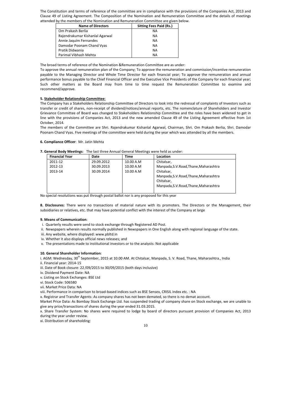The Constitution and terms of reference of the committee are in compliance with the provisions of the Companies Act, 2013 and Clause 49 of Listing Agreement. The Composition of the Nomination and Remuneration Committee and the details of meetings attended by the members of the Nomination and Remuneration Committee are given below.

| <b>Name of Directors</b>        | <b>Sitting Fees Paid (Rs.)</b> |
|---------------------------------|--------------------------------|
| Om Prakash Berlia               | ΝA                             |
| Rajendrakumar Kishanlal Agarwal | ΝA                             |
| Annie Jaquim Fernandes          | ΝA                             |
| Damodar Poonam Chand Vyas       | ΝA                             |
| Pratik Didwania                 | ΝA                             |
| Parimal Vibhash Mehta           | ΝA                             |

The broad terms of reference of the Nomination &Remuneration Committee are as under:

To approve the annual remuneration plan of the Company; To approve the remuneration and commission/incentive remuneration payable to the Managing Director and Whole Time Director for each financial year; To approve the remuneration and annual performance bonus payable to the Chief Financial Officer and the Executive Vice Presidents of the Company for each financial year; Such other matters as the Board may from time to time request the Remuneration Committee to examine and recommend/approve.

# **5. Stakeholder Relationship Committee**:

The Company has a Stakeholders Relationship Committee of Directors to look into the redressal of complaints of Investors such as transfer or credit of shares, non‐receipt of dividend/notices/annual reports, etc. The nomenclature of Shareholders and Investor Grievance Committee of Board was changed to Stakeholders Relationship Committee and the roles have been widened to get in line with the provisions of Companies Act, 2013 and the new amended Clause 49 of the Listing Agreement effective from 1st October, 2014.

The members of the Committee are Shri. Rajendrakumar Kishanlal Agarwal, Chairman, Shri. Om Prakash Berlia, Shri. Damodar Poonam Chand Vyas. Five meetings of the committee were held during the year which was attended by all the members.

# **6. Compliance Officer**: Mr. Jatin Mehta

|  | 7. General Body Meetings: The last three Annual General Meetings were held as under: |  |
|--|--------------------------------------------------------------------------------------|--|
|--|--------------------------------------------------------------------------------------|--|

| <b>Financial Year</b> | Date       | <b>Time</b> | Location                               |
|-----------------------|------------|-------------|----------------------------------------|
| 2011-12               | 29.09.2012 | 10.00 A.M   | Chitalsar.                             |
| 2012-13               | 30.09.2013 | 10.00 A.M   | Manpada, S.V. Road, Thane, Maharashtra |
| 2013-14               | 30.09.2014 | 10.00 A.M   | Chitalsar.                             |
|                       |            |             | Manpada, S.V. Road, Thane, Maharashtra |
|                       |            |             | Chitalsar.                             |
|                       |            |             | Manpada, S.V. Road, Thane, Maharashtra |
|                       |            |             |                                        |

No special resolutions was put through postal ballot nor is any proposed for this year

**8. Disclosures:** There were no transactions of material nature with its promoters. The Directors or the Management, their subsidiaries or relatives, etc. that may have potential conflict with the interest of the Company at large

# **9. Means of Communication**:

i. Quarterly results were send to stock exchange through Registered AD Post.

- ii. Newspapers wherein results normally published in Newspapers in One English along with regional language of the state.
- iii. Any website, where displayed: www.pbltd.in
- iv. Whether it also displays official news releases; and
- v. The presentations made to institutional investors or to the analysts: Not applicable

# **10. General Shareholder Information**:

i. AGM: Wednesday, 30<sup>th</sup> September, 2015 at 10.00 AM. At Chitalsar, Manpada, S. V. Road, Thane, Maharashtra., India

- ii. Financial year: 2014‐15
- iii. Date of Book closure: 22 /09/2015 to 30/09/2015 (both days inclusive)
- iv. Dividend Payment Date: NA
- v. Listing on Stock Exchanges: BSE Ltd
- vi. Stock Code: 506580
- vii. Market Price Data: NA

viii. Performance in comparison to broad‐based indices such as BSE Sensex, CRISIL index etc. : NA

x. Registrar and Transfer Agents: As company shares has not been demated, so there is no demat account.

Market Price Data: As Bombay Stock Exchange Ltd. has suspended trading of company share on Stock exchange, we are unable to give any price/transactions of shares during the year ended 31.03.2015.

x. Share Transfer System: No shares were required to lodge by board of directors pursuant provision of Companies Act, 2013 during the year under review.

xi. Distribution of shareholding: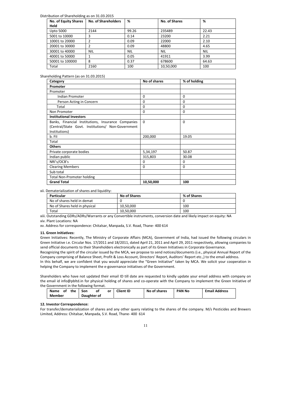# Distribution of Shareholding as on 31.03.2015

| <b>No. of Equity Shares</b> | No. of Shareholders | %          | No. of Shares | %          |
|-----------------------------|---------------------|------------|---------------|------------|
| Held                        |                     |            |               |            |
| <b>Upto 5000</b>            | 2144                | 99.26      | 235489        | 22.43      |
| 5001 to 10000               |                     | 0.14       | 23200         | 2.21       |
| 10001 to 20000              |                     | 0.09       | 22000         | 2.10       |
| 20001 to 30000              |                     | 0.09       | 48800         | 4.65       |
| 30001 to 40000              | <b>NIL</b>          | <b>NIL</b> | <b>NIL</b>    | <b>NIL</b> |
| 40001 to 50000              |                     | 0.05       | 41911         | 3.99       |
| 50001 to 100000             | 8                   | 0.37       | 678600        | 64.63      |
| Total                       | 2160                | 100        | 10,50,000     | 100        |

Shareholding Pattern (as on 31.03.2015)

| Category                                                                                                                 | No of shares | % of holding |
|--------------------------------------------------------------------------------------------------------------------------|--------------|--------------|
| Promoter                                                                                                                 |              |              |
| Promoter                                                                                                                 |              |              |
| Indian Promoter                                                                                                          | 0            | $\mathbf 0$  |
| Person Acting in Concern                                                                                                 | 0            | 0            |
| Total                                                                                                                    | $\mathbf 0$  | $\mathbf 0$  |
| Non Promoter                                                                                                             | 0            | $\mathbf 0$  |
| <b>Institutional Investors</b>                                                                                           |              |              |
| Banks, Financial Institutions, Insurance Companies<br>(Central/State Govt. Institutions/ Non-Government<br>Institutions) | $\Omega$     | $\mathbf 0$  |
| $b.$ FII                                                                                                                 | 200,000      | 19.05        |
| Total                                                                                                                    |              |              |
| <b>Others</b>                                                                                                            |              |              |
| Private corporate bodies                                                                                                 | 5,34,197     | 50.87        |
| Indian public                                                                                                            | 315,803      | 30.08        |
| NRI's/OCB's                                                                                                              | $\Omega$     | 0            |
| <b>Clearing Members</b>                                                                                                  | $\Omega$     | $\mathbf 0$  |
| Sub total                                                                                                                |              |              |
| <b>Total Non-Promoter holding</b>                                                                                        |              |              |
| <b>Grand Total</b>                                                                                                       | 10,50,000    | 100          |

# xii. Dematerialization of shares and liquidity:

| Particular                    | <b>No of Shares</b> | % of Shares |
|-------------------------------|---------------------|-------------|
| No of shares held in demat    |                     |             |
| No of Shares held in physical | 10.50.000           | 100         |
| Total                         | 10,50,000           | 100         |

xiii. Outstanding GDRs/ADRs/Warrants or any Convertible instruments, conversion date and likely impact on equity: NA

xiv. Plant Locations: NA

xv. Address for correspondence: Chitalsar, Manpada, S.V. Road, Thane‐ 400 614

# **11. Green Initiatives:**

Green Initiatives: Recently, The Ministry of Corporate Affairs (MCA), Government of India, had issued the following circulars in Green Initiative i.e. Circular Nos. 17/2011 and 18/2011, dated April 21, 2011 and April 29, 2011 respectively, allowing companies to send official documents to their Shareholders electronically as part of its Green Initiatives in Corporate Governance.

Recognizing the spirit of the circular issued by the MCA, we propose to send notices/documents (i.e., physical Annual Report of the Company comprising of Balance Sheet, Profit & Loss Account, Directors' Report, Auditors' Report etc.,) to the email address.

In this behalf, we are confident that you would appreciate the "Green Initiative" taken by MCA. We solicit your cooperation in helping the Company to implement the e‐governance initiatives of the Government.

Shareholders who have not updated their email ID till date are requested to kindly update your email address with company on the email id info@pbltd.in for physical holding of shares and co-operate with the Company to implement the Green Initiative of the Government in the following format.

| Name   | οt | the | Son         | οt | or | <b>Client ID</b> | No of shares | <b>PAN No</b> | <b>Email Address</b> |
|--------|----|-----|-------------|----|----|------------------|--------------|---------------|----------------------|
| Member |    |     | Daughter of |    |    |                  |              |               |                      |
|        |    |     |             |    |    |                  |              |               |                      |

# **12. Investor Correspondence:**

For transfer/dematerialization of shares and any other query relating to the shares of the company. M/s Pesticides and Brewers Limited, Address: Chitalsar, Manpada, S.V. Road, Thane‐ 400 614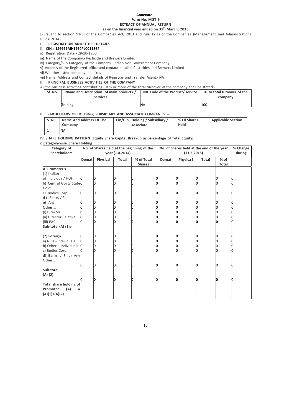# **Annexure‐I Form No. MGT‐9 EXTRACT OF ANNUAL RETURN**

**as on the financial year ended on 31st March, 2015**

[Pursuant to section 92(3) of the Companies Act, 2013 and rule 12(1) of the Companies (Management and Administration) Rules, 2014]

# **I. REGISTRATION AND OTHER DETAILS**:

i) **CIN :‐ L99999MH1960PLC011864**

ii) Registration Date:‐ 28‐10‐1960

iii) Name of the Company: Pesticide and Brewers Limited

iv) Category/Sub‐Category of the Company:‐Indian Non Government Company

v) Address of the Registered office and contact details:‐ Pesticides and Brewers Limited

vi) Whether listed company:‐ Yes

vii) Name, Address and Contact details of Registrar and Transfer Agent:‐ NA

# **II. PRINCIPAL BUSINESS ACTIVITIES OF THE COMPANY**

All the business activities contributing 10 % or more of the total turnover of the company shall be stated:‐

| SI. No. | Name and Description of main products / | NIC Code of the Product/ service   % to total turnover of the |         |
|---------|-----------------------------------------|---------------------------------------------------------------|---------|
|         | services                                |                                                               | company |
|         | Trading                                 | İΝΑ                                                           | 100     |

# **III. PARTICULARS OF HOLDING, SUBSIDIARY AND ASSOCIATE COMPANIES –**

| <b>S. NO</b> | Name And Address Of The<br>Company | Cin/Gln Holding / Subsidiary /<br>Associate | % Of Shares<br>Held | <b>Applicable Section</b> |
|--------------|------------------------------------|---------------------------------------------|---------------------|---------------------------|
|              | <b>NA</b>                          |                                             |                     |                           |

**IV. SHARE HOLDING PATTERN (Equity Share Capital Breakup as percentage of Total Equity)**

# **i) Category‐wise Share Holding**

| Category of                                                  | No. of Shares held at the beginning of the |          | No. of Shares held at the end of the year |                             |       |             | % Change |               |        |
|--------------------------------------------------------------|--------------------------------------------|----------|-------------------------------------------|-----------------------------|-------|-------------|----------|---------------|--------|
| <b>Shareholders</b>                                          |                                            |          | year (1.4.2014)                           |                             |       | (31.3.2015) |          |               | during |
|                                                              | Demat                                      | Physical | Total                                     | % of Total<br><b>Shares</b> | Demat | Physica I   | Total    | % of<br>Total |        |
| A. Promoter s                                                |                                            |          |                                           |                             |       |             |          |               |        |
| $(1)$ Indian                                                 |                                            |          |                                           |                             |       |             |          |               |        |
| a) Individual/HUF                                            |                                            |          |                                           |                             |       |             |          |               |        |
| b) Central Govt/ State0                                      |                                            |          |                                           |                             |       |             |          |               |        |
| Govt                                                         |                                            |          |                                           |                             |       |             |          |               |        |
| c) Bodies Corp.                                              |                                            |          |                                           |                             |       |             |          |               |        |
| d) Banks / FI                                                |                                            |          |                                           |                             |       |             |          |               |        |
| e) Any                                                       |                                            |          |                                           |                             |       |             |          |               |        |
| Other                                                        |                                            |          |                                           |                             |       |             |          |               |        |
| (i) Director                                                 |                                            |          |                                           |                             |       |             |          |               |        |
| (ii) Director Relative                                       |                                            |          |                                           |                             |       |             |          |               |        |
| (iii) PAC                                                    |                                            |          |                                           |                             |       |             |          |               |        |
| Sub-total (A) (1):-                                          |                                            |          |                                           |                             |       |             |          |               |        |
| (2) Foreign                                                  |                                            |          |                                           |                             |       |             |          |               |        |
| a) NRIs - Individuals                                        |                                            |          |                                           |                             |       |             |          |               |        |
| b) Other - Individuals                                       |                                            |          |                                           |                             |       |             |          |               |        |
| c) Bodies Corp.                                              |                                            |          |                                           |                             |       |             |          |               |        |
| d) Banks / FI e) Any                                         |                                            |          |                                           |                             |       |             |          |               |        |
| Other                                                        |                                            |          |                                           |                             |       |             |          |               |        |
|                                                              |                                            |          |                                           |                             |       |             |          |               |        |
| Sub-total                                                    |                                            |          |                                           |                             |       |             |          |               |        |
| (A) (2):-                                                    |                                            |          |                                           |                             |       |             |          |               |        |
|                                                              |                                            |          |                                           |                             |       |             |          |               |        |
| Total share holding of<br>(A)<br>Promoter<br>$(A)(1)+(A)(2)$ |                                            |          |                                           |                             |       |             |          |               |        |
|                                                              |                                            |          |                                           |                             |       |             |          |               |        |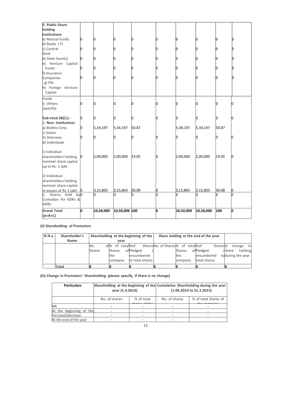| <b>B. Public Share</b> |   |           |               |       |     |           |           |       |    |
|------------------------|---|-----------|---------------|-------|-----|-----------|-----------|-------|----|
| holding                |   |           |               |       |     |           |           |       |    |
| <b>Institutions</b>    |   |           |               |       |     |           |           |       |    |
| a) Mutual Funds        |   |           |               |       |     |           |           |       |    |
| b) Banks / FI          |   |           |               |       |     |           |           |       |    |
| c) Central             |   |           |               |       |     |           |           |       |    |
| Govt                   |   |           |               |       |     |           |           |       |    |
| d) State Govt(s)       |   |           |               |       |     |           |           |       |    |
| e) Venture Capital     |   |           |               |       |     |           |           |       |    |
| Funds                  |   |           |               |       |     |           |           |       |    |
| f) Insurance           |   |           |               |       |     |           |           |       |    |
| Companies              |   |           |               |       |     |           |           |       |    |
| g) FIIs                |   |           |               |       |     |           |           |       |    |
| h) Foreign Venture     |   |           |               |       |     |           |           |       |    |
| Capital                |   |           |               |       |     |           |           |       |    |
| Funds                  |   |           |               |       |     |           |           |       |    |
| i) Others              |   | Ю         | IO            | n     | 0   | Ю         | O         | Ю     | Ю  |
| (specify)              |   |           |               |       |     |           |           |       |    |
|                        |   |           |               |       |     |           |           |       |    |
| Sub-total (B)(1):-     | n | n         | n             |       | 0   | n         | IN        | Ю     | n  |
| 2. Non- Institutions   |   |           |               |       |     |           |           |       |    |
| a) Bodies Corp.        | Ю | 5,34,197  | 5,34,197      | 50.87 |     | 5,34,197  | 5,34,197  | 50.87 |    |
| i) Indian              |   |           |               |       |     |           |           |       |    |
| ii) Overseas           |   |           | n             |       | n   |           |           |       |    |
| b) Individuals         |   |           |               |       |     |           |           |       |    |
|                        |   |           |               |       |     |           |           |       |    |
| i) Individual          |   |           |               |       |     |           |           |       |    |
| shareholders holding   | Ю | 2,00,000  | 2,00,000      | 19.05 | IO. | 2,00,000  | 2,00,000  | 19.05 | Ю  |
| nominal share capital  |   |           |               |       |     |           |           |       |    |
| up to Rs. 1 lakh       |   |           |               |       |     |           |           |       |    |
|                        |   |           |               |       |     |           |           |       |    |
| ii) Individual         |   |           |               |       |     |           |           |       |    |
| shareholders holding   |   |           |               |       |     |           |           |       |    |
| nominal share capital  |   |           |               |       |     |           |           |       |    |
| in excess of Rs 1 lakh | Ю | 3,15,803  | 3,15,803      | 30.08 | n   | 3,15,803  | 3,15,803  | 30.08 |    |
| Shares held by0<br>C.  |   |           |               |       |     |           |           |       | lo |
| Custodian for GDRs &   |   |           |               |       |     |           |           |       |    |
| <b>ADRs</b>            |   |           |               |       |     |           |           |       |    |
| <b>Grand Total</b>     | O | 10,50,000 | 10,50,000 100 |       | o   | 10,50,000 | 10,50,000 | 100   | o  |
| $(A+B+C)$              |   |           |               |       |     |           |           |       |    |

# **(ii) Shareholding of Promoters**

| SIN o.l | Shareholder's |        |                    | Shareholding at the beginning of the |                                     |         | Share holding at the end of the year |                   |
|---------|---------------|--------|--------------------|--------------------------------------|-------------------------------------|---------|--------------------------------------|-------------------|
|         | Name          |        | vear               |                                      |                                     |         |                                      |                   |
|         |               | No.    | total%of<br>of% of |                                      | SharesNo. of Shares % of total % of |         | Shares <sup>y</sup>                  | in<br>change      |
|         |               | Shares | <b>Shares</b>      | ofPledged                            |                                     | Shares  | ofPledged                            | holding<br>/share |
|         |               |        | lthe               | encumbered                           |                                     | the     | encumbered                           | toduring the year |
|         |               |        | company            | to total shares                      |                                     | company | total shares                         |                   |
|         | Total         |        |                    |                                      |                                     |         |                                      |                   |

# **(iii) Change in Promoters' Shareholding (please specify, if there is no change)**

| <b>Particulars</b>      | year (1.4.2014) |                              | Shareholding at the beginning of the Cumulative Shareholding during the year<br>(1.04.2014 to 31.3.2015) |                      |  |
|-------------------------|-----------------|------------------------------|----------------------------------------------------------------------------------------------------------|----------------------|--|
|                         | No. of shares   | % of total<br>ماله کا در است | No. of shares                                                                                            | % of total shares of |  |
| <b>NA</b>               |                 |                              |                                                                                                          |                      |  |
| At the beginning of the |                 |                              |                                                                                                          |                      |  |
| Increase/decrease       |                 |                              |                                                                                                          |                      |  |
| At the end of the year  |                 |                              |                                                                                                          |                      |  |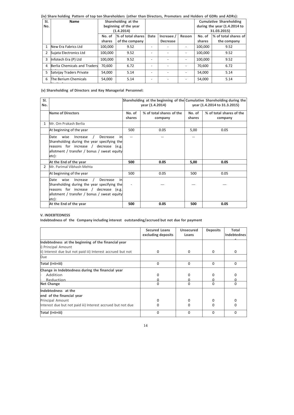| (iv) Share holding Pattern of top ten Shareholders (other than Directors, Promoters and Holders of GDRs and ADRs): |  |  |
|--------------------------------------------------------------------------------------------------------------------|--|--|
|--------------------------------------------------------------------------------------------------------------------|--|--|

| SI.<br>No.     | Name                         | Shareholding at the<br>beginning of the year |                   |      |                 |        | <b>Cumulative Shareholding</b><br>during the year (1.4.2014 to |                      |  |
|----------------|------------------------------|----------------------------------------------|-------------------|------|-----------------|--------|----------------------------------------------------------------|----------------------|--|
|                |                              |                                              | (1.4.2014)        |      |                 |        |                                                                | 31.03.2015)          |  |
|                |                              | No. of                                       | % of total shares | Date | Increase $/$    | Resson | No. of                                                         | % of total shares of |  |
|                |                              | shares                                       | of the company    |      | <b>Decrease</b> |        | shares                                                         | the company          |  |
|                | New Era Fabrics Ltd          | 100,000                                      | 9.52              |      |                 |        | 100,000                                                        | 9.52                 |  |
| $\overline{2}$ | Sujata Electronics Ltd       | 100.000                                      | 9.52              |      |                 |        | 100.000                                                        | 9.52                 |  |
| 3              | Infotech Era (P) Ltd         | 100,000                                      | 9.52              |      |                 |        | 100,000                                                        | 9.52                 |  |
| 4              | Berlia Chemicals and Traders | 70.600                                       | 6.72              | ٠    |                 |        | 70.600                                                         | 6.72                 |  |
| 5              | Satvijay Traders Private     | 54.000                                       | 5.14              |      |                 |        | 54.000                                                         | 5.14                 |  |
| 6              | The Berium Chemicals         | 54,000                                       | 5.14              |      |                 |        | 54,000                                                         | 5.14                 |  |

**(v) Shareholding of Directors and Key Managerial Personnel:**

| SI.<br>No.    |                                                                                                                                                                                             |                  | year (1.4.2014)                     |                  | Shareholding at the beginning of the Cumulative Shareholding during the<br>year (1.4.2014 to 31.3.2015) |  |  |
|---------------|---------------------------------------------------------------------------------------------------------------------------------------------------------------------------------------------|------------------|-------------------------------------|------------------|---------------------------------------------------------------------------------------------------------|--|--|
|               | Name of Directors                                                                                                                                                                           | No. of<br>shares | % of total shares of the<br>company | No. of<br>shares | % of total shares of the<br>company                                                                     |  |  |
|               | Mr. Om Prakash Berlia                                                                                                                                                                       |                  |                                     |                  |                                                                                                         |  |  |
|               | At beginning of the year                                                                                                                                                                    | 500              | 0.05                                | 5,00             | 0.05                                                                                                    |  |  |
|               | Date<br>wise<br>Decrease<br>Increase<br>in<br>Shareholding during the year specifying the<br>reasons for increase / decrease (e.g.<br>allotment / transfer / bonus / sweat equity<br>letc): |                  |                                     | --               |                                                                                                         |  |  |
|               | At the End of the year                                                                                                                                                                      | 500              | 0.05                                | 5,00             | 0.05                                                                                                    |  |  |
| $\mathcal{P}$ | Mr. Parimal Vibhash Mehta                                                                                                                                                                   |                  |                                     |                  |                                                                                                         |  |  |
|               | At beginning of the year                                                                                                                                                                    | 500              | 0.05                                | 500              | 0.05                                                                                                    |  |  |
|               | Date<br>wise<br>Decrease<br>Increase<br>inl<br>Shareholding during the year specifying the<br>reasons for increase / decrease (e.g.<br>allotment / transfer / bonus / sweat equity<br>etc): |                  |                                     |                  |                                                                                                         |  |  |
|               | At the End of the year                                                                                                                                                                      | 500              | 0.05                                | 500              | 0.05                                                                                                    |  |  |

# **V. INDEBTEDNESS**

**Indebtedness of the Company including interest outstanding/accrued but not due for payment**

|                                                             | <b>Secured Loans</b><br>excluding deposits | Unsecured<br>Loans | <b>Deposits</b> | Total<br><b>Indebtednes</b> |
|-------------------------------------------------------------|--------------------------------------------|--------------------|-----------------|-----------------------------|
| Indebtedness at the beginning of the financial year         |                                            |                    |                 |                             |
| i) Principal Amount                                         |                                            |                    |                 |                             |
| ii) Interest due but not paid iii) Interest accrued but not | $\Omega$                                   | $\Omega$           | $\Omega$        | 0                           |
| Due                                                         |                                            |                    |                 |                             |
| Total (i+ii+iii)                                            | $\Omega$                                   | $\Omega$           | $\Omega$        | $\Omega$                    |
| Change in Indebtedness during the financial year            |                                            |                    |                 |                             |
| Addition                                                    | $\Omega$                                   | o                  | <sup>0</sup>    |                             |
| Reduction                                                   |                                            |                    |                 |                             |
| <b>Net Change</b>                                           | $\Omega$                                   | $\Omega$           | $\Omega$        | 0                           |
| Indebtedness at the                                         |                                            |                    |                 |                             |
| end of the financial year                                   |                                            |                    |                 |                             |
| Principal Amount                                            | 0                                          | O                  | 0               |                             |
| Interest due but not paid iii) Interest accrued but not due | O                                          | U                  | $\Omega$        |                             |
| Total (i+ii+iii)                                            | $\Omega$                                   | $\Omega$           | $\Omega$        | $\Omega$                    |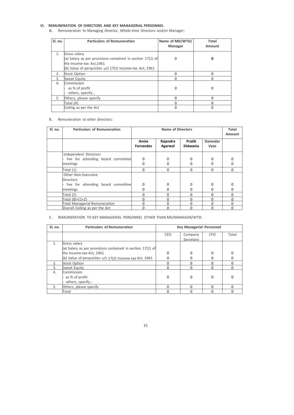# **VI. REMUNERATION OF DIRECTORS AND KEY MANAGERIAL PERSONNEL**

A. Remuneration to Managing Director, Whole-time Directors and/or Manager:

| Sl. no. | <b>Particulars of Remuneration</b>                                                                                                                                    | Name of MD/WTD/<br>Manager | Total<br>Amount |
|---------|-----------------------------------------------------------------------------------------------------------------------------------------------------------------------|----------------------------|-----------------|
| 1.      | Gross salary<br>(a) Salary as per provisions contained in section $17(1)$ of<br>the Income-tax Act, 1961<br>(b) Value of perquisites $u/s$ 17(2) Income-tax Act, 1961 | 0                          | 0               |
| 2.      | <b>Stock Option</b>                                                                                                                                                   | n                          | O               |
| 3.      | Sweat Equity                                                                                                                                                          | n                          | ŋ               |
| 4.      | Commission<br>as % of profit<br>others, specify                                                                                                                       | $\Omega$                   | 0               |
| 5.      | Others, please specify                                                                                                                                                | O                          | O               |
|         | Total (A)                                                                                                                                                             |                            |                 |
|         | Ceiling as per the Act                                                                                                                                                | 0                          | 0               |

# B. Remuneration to other directors:

| SI. no. | <b>Particulars of Remuneration</b>        | <b>Name of Directors</b>  |                     |                           |                 | Total<br>Amount |
|---------|-------------------------------------------|---------------------------|---------------------|---------------------------|-----------------|-----------------|
|         |                                           | Annie<br><b>Fernandes</b> | Rajendra<br>Agarwal | Pratik<br><b>Didwania</b> | Damodar<br>Vyas |                 |
|         | Independent Directors                     |                           |                     |                           |                 |                 |
|         | Fee for attending board committee         | $\Omega$                  | 0                   | $\Omega$                  | 0               | 0               |
|         | meetings                                  | $\Omega$                  | 0                   | $\Omega$                  | 0               | 0               |
|         | Total $(1)$                               | $\Omega$                  | 0                   | $\Omega$                  | 0               | 0               |
|         | Other Non-Executive<br><b>Directors</b>   |                           |                     |                           |                 |                 |
|         | $\cdot$ Fee for attending board committee | $\mathbf 0$               | 0                   | $\Omega$                  | $\Omega$        | 0               |
|         | meetings                                  | $\Omega$                  | O                   | O                         | O               | 0               |
|         | Total (2)                                 | $\Omega$                  | 0                   | $\Omega$                  | O               | O               |
|         | Total $(B)=(1+2)$                         | $\Omega$                  | 0                   | O                         |                 | O               |
|         | <b>Total Managerial Remuneration</b>      | $\Omega$                  | 0                   | O                         | $\Omega$        | U               |
|         | Overall Ceiling as per the Act            | O                         | 0                   |                           |                 | O               |

# C. REMUNERATION TO KEY MANAGERIAL PERSONNEL OTHER THAN MD/MANAGER/WTD:

| SI. no. | <b>Particulars of Remuneration</b>                           | <b>Key Managerial Personnel</b> |           |              |       |
|---------|--------------------------------------------------------------|---------------------------------|-----------|--------------|-------|
|         |                                                              | CEO                             | Company   | <b>CFO</b>   | Total |
|         |                                                              |                                 | Secretary |              |       |
| 1.      | Gross salary                                                 |                                 |           |              |       |
|         | (a) Salary as per provisions contained in section $17(1)$ of |                                 |           |              |       |
|         | the Income-tax Act, 1961                                     | $\Omega$                        | $\Omega$  | $\Omega$     |       |
|         | (b) Value of perquisites u/s 17(2) Income-tax Act, 1961      | O                               |           | $\Omega$     |       |
| 2.      | <b>Stock Option</b>                                          | O                               |           | <sup>0</sup> |       |
| 3.      | Sweat Equity                                                 | $\Omega$                        |           | <sup>0</sup> |       |
| 4.      | Commission                                                   |                                 |           |              |       |
|         | as % of profit                                               | 0                               | $\Omega$  | $\Omega$     |       |
|         | others, specify                                              |                                 |           |              |       |
| 5.      | Others, please specify                                       | O                               |           | O            |       |
|         | Total                                                        |                                 |           |              |       |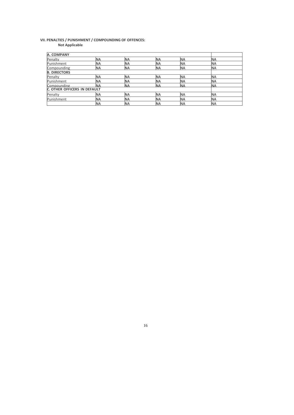# **VII. PENALTIES / PUNISHMENT / COMPOUNDING OF OFFENCES: Not Applicable**

| A. COMPANY                   |           |      |           |           |            |
|------------------------------|-----------|------|-----------|-----------|------------|
| Penalty                      | ΝA        | İΝA  | İΝA       | ΙNΑ       | İΝA        |
| Punishment                   | 'NА       | 'NА  | <b>NA</b> | lΝA       | <b>NA</b>  |
| Compounding                  | NА        | NА   | ΙNΑ       | 'NА       | <b>NA</b>  |
| <b>B. DIRECTORS</b>          |           |      |           |           |            |
| Penalty                      | <b>NA</b> | 'NА  | 'NА       | lΝA       | İΝA        |
| Punishment                   | <b>NA</b> | 'NА  | 'NА       | <b>NA</b> | ΙNΑ        |
| Compounding                  | 'NА       | IN A | 'NА       | 'NА       | <b>INA</b> |
| C. OTHER OFFICERS IN DEFAULT |           |      |           |           |            |
| Penalty                      | ΝA        | 'NА  | 'NА       | ΙNΑ       | İΝA        |
| Punishment                   | INA       | 'NА  | 'NА       | İΝA       | İΝA        |
|                              | ΝA.       | 'NА  | 'NА       | İΝA       | İΝA        |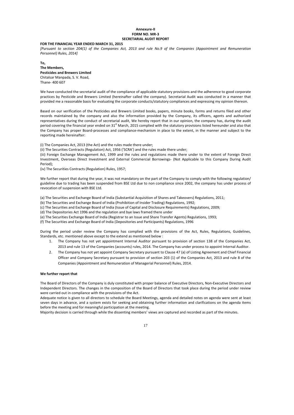# **Annexure‐II FORM NO. MR‐3 SECRETARIAL AUDIT REPORT**

# **FOR THE FINANCIAL YEAR ENDED MARCH 31, 2015**

[Pursuant to section 204(1) of the Companies Act, 2013 and rule No.9 of the Companies (Appointment and Remuneration *Personnel) Rules, 2014]*

**To, The Members, Pesticides and Brewers Limited** Chitalsar Manpada, S. V. Road, Thane‐ 400 607

We have conducted the secretarial audit of the compliance of applicable statutory provisions and the adherence to good corporate practices by Pesticide and Brewers Limited (hereinafter called the company). Secretarial Audit was conducted in a manner that provided me a reasonable basis for evaluating the corporate conducts/statutory compliances and expressing my opinion thereon.

Based on our verification of the Pesticides and Brewers Limited books, papers, minute books, forms and returns filed and other records maintained by the company and also the information provided by the Company, its officers, agents and authorized representatives during the conduct of secretarial audit, We hereby report that in our opinion, the company has, during the audit period covering the financial year ended on 31<sup>st</sup> March, 2015 complied with the statutory provisions listed hereunder and also that the Company has proper Board‐processes and compliance‐mechanism in place to the extent, in the manner and subject to the reporting made hereinafter:

(i) The Companies Act, 2013 (the Act) and the rules made there under;

(ii) The Securities Contracts (Regulation) Act, 1956 ('SCRA') and the rules made there under;

(iii) Foreign Exchange Management Act, 1999 and the rules and regulations made there under to the extent of Foreign Direct Investment, Overseas Direct Investment and External Commercial Borrowings- (Not Applicable to this Company During Audit Period);

(iv) The Securities Contracts (Regulation) Rules, 1957;

We further report that during the year, it was not mandatory on the part of the Company to comply with the following regulation/ guideline due to trading has been suspended from BSE Ltd due to non compliance since 2002, the company has under process of revocation of suspension with BSE Ltd.

(a) The Securities and Exchange Board of India (Substantial Acquisition of Shares and Takeovers) Regulations, 2011;

(b) The Securities and Exchange Board of India (Prohibition of Insider Trading) Regulations, 1992;

(c) The Securities and Exchange Board of India (Issue of Capital and Disclosure Requirements) Regulations, 2009;

(d) The Depositories Act 1996 and the regulation and bye laws framed there under

(e) The Securities Exchange Board of India (Registrar to an Issue and Share Transfer Agents) Regulations, 1993;

(f) The Securities and Exchange Board of India (Depositories and Participants) Regulations, 1996

During the period under review the Company has complied with the provisions of the Act, Rules, Regulations, Guidelines, Standards, etc. mentioned above except to the extend as mentioned below :

- 1. The Company has not yet appointment Internal Auditor pursuant to provision of section 138 of the Companies Act, 2013 and rule 13 of the Companies (accounts) rules, 2014. The Company has under process to appoint Internal Auditor.
- 2. The Company has not yet appoint Company Secretary pursuant to Clause 47 (a) of Listing Agreement and Chief Financial Officer and Company Secretary pursuant to provision of section 203 (1) of the Companies Act, 2013 and rule 8 of the Companies (Appointment and Remuneration of Managerial Personnel) Rules, 2014.

# **We further report that**

The Board of Directors of the Company is duly constituted with proper balance of Executive Directors, Non‐Executive Directors and Independent Directors. The changes in the composition of the Board of Directors that took place during the period under review were carried out in compliance with the provisions of the Act.

Adequate notice is given to all directors to schedule the Board Meetings, agenda and detailed notes on agenda were sent at least seven days in advance, and a system exists for seeking and obtaining further information and clarifications on the agenda items before the meeting and for meaningful participation at the meeting.

Majority decision is carried through while the dissenting members' views are captured and recorded as part of the minutes.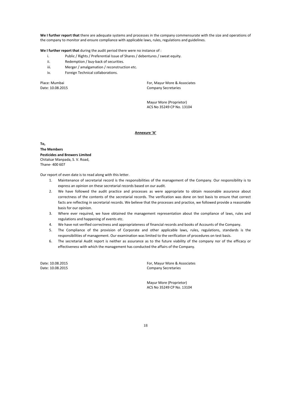**We I further report that** there are adequate systems and processes in the company commensurate with the size and operations of the company to monitor and ensure compliance with applicable laws, rules, regulations and guidelines.

**We I further report that** during the audit period there were no instance of :

- i. Public / Rights / Preferential Issue of Shares / debentures / sweat equity.
- ii. Redemption / buy-back of securities.
- iii. Merger / amalgamation / reconstruction etc.
- iv. Foreign Technical collaborations.

Place: Mumbai For, Mayur More & Associates Date: 10.08.2015 Company Secretaries

> Mayur More (Proprietor) ACS No 35249 CP No. 13104

**Annexure 'A'**

**To,**

**The Members Pesticides and Brewers Limited** Chitalsar Manpada, S. V. Road, Thane‐ 400 607

Our report of even date is to read along with this letter.

- 1. Maintenance of secretarial record is the responsibilities of the management of the Company. Our responsibility is to express an opinion on these secretarial records based on our audit.
- 2. We have followed the audit practice and processes as were appropriate to obtain reasonable assurance about correctness of the contents of the secretarial records. The verification was done on test basis to ensure that correct facts are reflecting in secretarial records. We believe that the processes and practice, we followed provide a reasonable basis for our opinion.
- 3. Where ever required, we have obtained the management representation about the compliance of laws, rules and regulations and happening of events etc.
- 4. We have not verified correctness and appropriateness of financial records and books of Accounts of the Company.
- 5. The Compliance of the provision of Corporate and other applicable laws, rules, regulations, standards is the responsibilities of management. Our examination was limited to the verification of procedures on test basis.
- 6. The secretarial Audit report is neither as assurance as to the future viability of the company nor of the efficacy or effectiveness with which the management has conducted the affairs of the Company.

Date: 10.08.2015 For, Mayur More & Associates Date: 10.08.2015 Company Secretaries

> Mayur More (Proprietor) ACS No 35249 CP No. 13104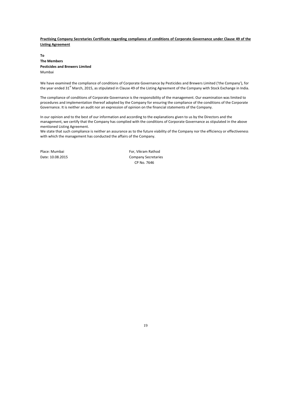Practising Company Secretaries Certificate regarding compliance of conditions of Corporate Governance under Clause 49 of the **Listing Agreement**

**To The Members Pesticides and Brewers Limited**  Mumbai

We have examined the compliance of conditions of Corporate Governance by Pesticides and Brewers Limited ('the Company'), for the year ended 31<sup>st</sup> March, 2015, as stipulated in Clause 49 of the Listing Agreement of the Company with Stock Exchange in India.

The compliance of conditions of Corporate Governance is the responsibility of the management. Our examination was limited to procedures and implementation thereof adopted by the Company for ensuring the compliance of the conditions of the Corporate Governance. It is neither an audit nor an expression of opinion on the financial statements of the Company.

In our opinion and to the best of our information and according to the explanations given to us by the Directors and the management, we certify that the Company has complied with the conditions of Corporate Governance as stipulated in the above mentioned Listing Agreement.

We state that such compliance is neither an assurance as to the future viability of the Company nor the efficiency or effectiveness with which the management has conducted the affairs of the Company.

Place: Mumbai For, Vikram Rathod Date: 10.08.2015 Company Secretaries CP No. 7646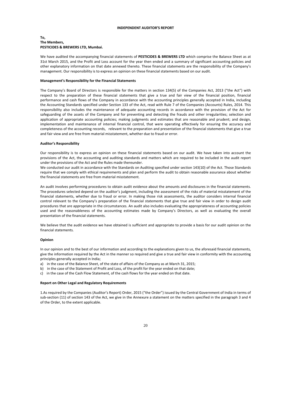# **INDEPENDENT AUDITOR'S REPORT**

# **To, The Members, PESTICIDES & BREWERS LTD, Mumbai.**

We have audited the accompanying financial statements of **PESTICIDES & BREWERS LTD** which comprise the Balance Sheet as at 31st March 2015, and the Profit and Loss account for the year then ended and a summary of significant accounting policies and other explanatory information on that date annexed thereto. These financial statements are the responsibility of the Company's management. Our responsibility is to express an opinion on these financial statements based on our audit.

# **Management's Responsibility for the Financial Statements**

The Company's Board of Directors is responsible for the matters in section 134(5) of the Companies Act, 2013 ("the Act") with respect to the preparation of these financial statements that give a true and fair view of the financial position, financial performance and cash flows of the Company in accordance with the accounting principles generally accepted in India, including the Accounting Standards specified under Section 133 of the Act, read with Rule 7 of the Companies (Accounts) Rules, 2014. This responsibility also includes the maintenance of adequate accounting records in accordance with the provision of the Act for safeguarding of the assets of the Company and for preventing and detecting the frauds and other irregularities; selection and application of appropriate accounting policies; making judgments and estimates that are reasonable and prudent; and design, implementation and maintenance of internal financial control, that were operating effectively for ensuring the accuracy and completeness of the accounting records, relevant to the preparation and presentation of the financial statements that give a true and fair view and are free from material misstatement, whether due to fraud or error.

# **Auditor's Responsibility**

Our responsibility is to express an opinion on these financial statements based on our audit. We have taken into account the provisions of the Act, the accounting and auditing standards and matters which are required to be included in the audit report under the provisions of the Act and the Rules made thereunder.

We conducted our audit in accordance with the Standards on Auditing specified under section 143(10) of the Act. Those Standards require that we comply with ethical requirements and plan and perform the audit to obtain reasonable assurance about whether the financial statements are free from material misstatement.

An audit involves performing procedures to obtain audit evidence about the amounts and disclosures in the financial statements. The procedures selected depend on the auditor's judgment, including the assessment of the risks of material misstatement of the financial statements, whether due to fraud or error. In making those risk assessments, the auditor considers internal financial control relevant to the Company's preparation of the financial statements that give true and fair view in order to design audit procedures that are appropriate in the circumstances. An audit also includes evaluating the appropriateness of accounting policies used and the reasonableness of the accounting estimates made by Company's Directors, as well as evaluating the overall presentation of the financial statements.

We believe that the audit evidence we have obtained is sufficient and appropriate to provide a basis for our audit opinion on the financial statements.

# **Opinion**

In our opinion and to the best of our information and according to the explanations given to us, the aforesaid financial statements, give the information required by the Act in the manner so required and give a true and fair view in conformity with the accounting principles generally accepted in India;

a) in the case of the Balance Sheet, of the state of affairs of the Company as at March 31, 2015;

b) in the case of the Statement of Profit and Loss, of the profit for the year ended on that date;

c) in the case of the Cash Flow Statement, of the cash flows for the year ended on that date.

#### **Report on Other Legal and Regulatory Requirements**

1.As required by the Companies (Auditor's Report) Order, 2015 ("the Order") issued by the Central Government of India in terms of sub-section (11) of section 143 of the Act, we give in the Annexure a statement on the matters specified in the paragraph 3 and 4 of the Order, to the extent applicable.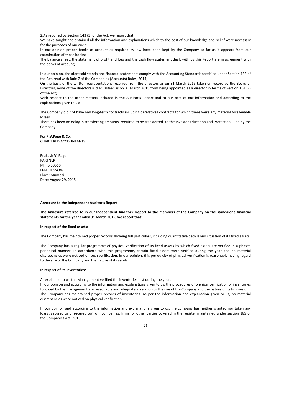2.As required by Section 143 (3) of the Act, we report that:

We have sought and obtained all the information and explanations which to the best of our knowledge and belief were necessary for the purposes of our audit.

In our opinion proper books of account as required by law have been kept by the Company so far as it appears from our examination of those books;

The balance sheet, the statement of profit and loss and the cash flow statement dealt with by this Report are in agreement with the books of account;

In our opinion, the aforesaid standalone financial statements comply with the Accounting Standards specified under Section 133 of the Act, read with Rule 7 of the Companies (Accounts) Rules, 2014;

On the basis of the written representations received from the directors as on 31 March 2015 taken on record by the Board of Directors, none of the directors is disqualified as on 31 March 2015 from being appointed as a director in terms of Section 164 (2) of the Act;

With respect to the other matters included in the Auditor's Report and to our best of our information and according to the explanations given to us:

The Company did not have any long‐term contracts including derivatives contracts for which there were any material foreseeable losses.

There has been no delay in transferring amounts, required to be transferred, to the Investor Education and Protection Fund by the Company

**For P.V.Page & Co.**  CHARTERED ACCOUNTANTS

**Prakash V. Page**  PARTNER M. no.30560 FRN‐107243W Place: Mumbai Date: August 29, 2015

## **Annexure to the Independent Auditor's Report**

The Annexure referred to in our Independent Auditors' Report to the members of the Company on the standalone financial **statements for the year ended 31 March 2015, we report that:**

# **In respect of the fixed assets:**

The Company has maintained proper records showing full particulars, including quantitative details and situation of its fixed assets.

The Company has a regular programme of physical verification of its fixed assets by which fixed assets are verified in a phased periodical manner. In accordance with this programme, certain fixed assets were verified during the year and no material discrepancies were noticed on such verification. In our opinion, this periodicity of physical verification is reasonable having regard to the size of the Company and the nature of its assets.

# **In respect of its inventories:**

As explained to us, the Management verified the inventories test during the year.

In our opinion and according to the information and explanations given to us, the procedures of physical verification of inventories followed by the management are reasonable and adequate in relation to the size of the Company and the nature of its business. The Company has maintained proper records of inventories. As per the information and explanation given to us, no material discrepancies were noticed on physical verification.

In our opinion and according to the information and explanations given to us, the company has neither granted nor taken any loans, secured or unsecured to/from companies, firms, or other parties covered in the register maintained under section 189 of the Companies Act, 2013.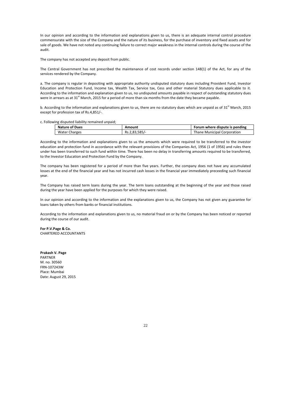In our opinion and according to the information and explanations given to us, there is an adequate internal control procedure commensurate with the size of the Company and the nature of its business, for the purchase of inventory and fixed assets and for sale of goods. We have not noted any continuing failure to correct major weakness in the internal controls during the course of the audit.

The company has not accepted any deposit from public.

The Central Government has not prescribed the maintenance of cost records under section 148(1) of the Act, for any of the services rendered by the Company.

a. The company is regular in depositing with appropriate authority undisputed statutory dues including Provident Fund, Investor Education and Protection Fund, Income tax, Wealth Tax, Service tax, Cess and other material Statutory dues applicable to it. According to the information and explanation given to us, no undisputed amounts payable in respect of outstanding statutory dues were in arrears as at 31<sup>st</sup> March, 2015 for a period of more than six months from the date they became payable.

b. According to the information and explanations given to us, there are no statutory dues which are unpaid as of  $31<sup>st</sup>$  March, 2015 except for profession tax of Rs.4,851/‐.

# c. Following disputed liability remained unpaid;

| <b>Nature of Dues</b> | Amount        | Forum where dispute is pending |
|-----------------------|---------------|--------------------------------|
| <b>Water Charges</b>  | Rs.2.83.585/- | Thane Municipal Corporation    |

According to the information and explanations given to us the amounts which were required to be transferred to the investor education and protection fund in accordance with the relevant provisions of the Companies Act, 1956 (1 of 1956) and rules there under has been transferred to such fund within time. There has been no delay in transferring amounts required to be transferred, to the Investor Education and Protection Fund by the Company.

The company has been registered for a period of more than five years. Further, the company does not have any accumulated losses at the end of the financial year and has not incurred cash losses in the financial year immediately preceeding such financial year.

The Company has raised term loans during the year. The term loans outstanding at the beginning of the year and those raised during the year have been applied for the purposes for which they were raised.

In our opinion and according to the information and the explanations given to us, the Company has not given any guarantee for loans taken by others from banks or financial institutions.

According to the information and explanations given to us, no material fraud on or by the Company has been noticed or reported during the course of our audit.

**For P.V.Page & Co.**  CHARTERED ACCOUNTANTS

**Prakash V. Page**  PARTNER M. no. 30560 FRN‐107243W Place: Mumbai Date: August 29, 2015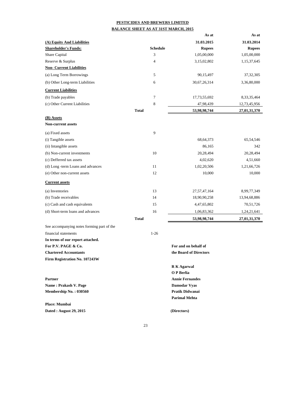# **PESTICIDES AND BREWERS LIMITED BALANCE SHEET AS AT 31ST MARCH, 2015**

|                                            |                 | As at         | As at          |
|--------------------------------------------|-----------------|---------------|----------------|
| (A) Equity And Liabilities                 |                 | 31.03.2015    | 31.03.2014     |
| <b>Shareholder's Funds:</b>                | <b>Schedule</b> | <b>Rupees</b> | <b>Rupees</b>  |
| Share Capital                              | 3               | 1,05,00,000   | 1,05,00,000    |
| Reserve & Surplus                          | 4               | 3,15,02,802   | 1,15,37,645    |
| <b>Non- Current Liabilities</b>            |                 |               |                |
| (a) Long Term Borrowings                   | 5               | 90,15,497     | 37, 32, 305    |
| (b) Other Long-term Liabilities            | 6               | 30,67,26,314  | 3,36,80,000    |
| <b>Current Liabilities</b>                 |                 |               |                |
| (b) Trade payables                         | 7               | 17,73,55,692  | 8, 33, 35, 464 |
| (c) Other Current Liabilities              | 8               | 47,98,439     | 12,73,45,956   |
|                                            | <b>Total</b>    | 53,98,98,744  | 27,01,31,370   |
| (B) Assets                                 |                 |               |                |
| <b>Non-current assets</b>                  |                 |               |                |
| (a) Fixed assets                           | 9               |               |                |
| (i) Tangible assets                        |                 | 68,64,373     | 65,54,546      |
| (ii) Intangible assets                     |                 | 86,165        | 342            |
| (b) Non-current investments                | 10              | 20,28,494     | 20,28,494      |
| (c) Defferred tax assets                   |                 | 4,02,620      | 4,51,660       |
| (d) Long -term Loans and advances          | 11              | 1,02,20,506   | 1,21,66,726    |
| (e) Other non-current assets               | 12              | 10,000        | 10,000         |
| <b>Current assets</b>                      |                 |               |                |
| (a) Inventories                            | 13              | 27,57,47,164  | 8,99,77,349    |
| (b) Trade receivables                      | 14              | 18,90,90,258  | 13,94,68,886   |
| (c) Cash and cash equivalents              | 15              | 4,47,65,802   | 70,51,726      |
| (d) Short-term loans and advances          | 16              | 1,06,83,362   | 1,24,21,641    |
|                                            | <b>Total</b>    | 53,98,98,744  | 27,01,31,370   |
| See accompanying notes forming part of the |                 |               |                |

financial statements 1-26 **In terms of our report attached.**  For P.V. PAGE & Co. **For and on behalf of For and on behalf of Chartered Accountants** the Board of Directors **the Board of Directors Firm Registration No. 107243W** 

**Partner Annie Fernandes Name : Prakash V. Page Damodar Vyas Membership No. : 030560 Pratik Didwanai** 

**Place: Mumbai Dated : August 29, 2015 (Directors)** 

 **R K Agarwal O P Berlia Parimal Mehta**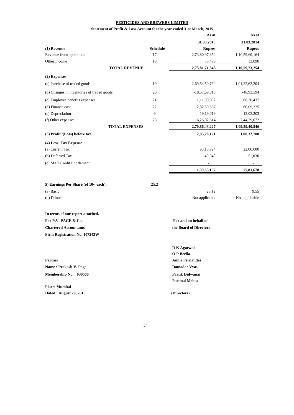# **PESTICIDES AND BREWERS LIMITED**

|                                                    |                 | As at                    | As at          |
|----------------------------------------------------|-----------------|--------------------------|----------------|
|                                                    |                 | 31.03.2015               | 31.03.2014     |
| (1) Revenue                                        | <b>Schedule</b> | <b>Rupees</b>            | <b>Rupees</b>  |
| Revenue from operations                            | 17              | 2,73,80,97,852           | 1,10,59,60,164 |
| Other Income                                       | 18              | 73,496                   | 13,090         |
| <b>TOTAL REVENUE</b>                               |                 | 2,73,81,71,348           | 1,10,59,73,254 |
| (2) Expenses                                       |                 |                          |                |
| (a) Purchase of traded goods                       | 19              | 2,69,54,50,760           | 1,01,22,62,204 |
| (b) Changes in inventories of traded goods         | 20              | $-18,57,69,815$          | -48,93,594     |
| (c) Employee benefits expenses                     | 21              | 1,11,90,082              | 68, 30, 437    |
| (d) Finance cost                                   | 22              | 2,32,50,567              | 60,09,225      |
| (e) Depreciation                                   | 9               | 19,19,019                | 13,03,203      |
| (f) Other expenses                                 | 23              | 16,26,02,614             | 7,44,29,072    |
| <b>TOTAL EXPENSES</b>                              |                 | 2,70,86,43,227           | 1,09,59,40,546 |
| (3) Profit /(Loss) before tax                      |                 | 2,95,28,121              | 1,00,32,708    |
| (4) Less: Tax Expense                              |                 |                          |                |
| (a) Current Tax                                    |                 | 95,13,924                | 22,00,000      |
| (b) Deferred Tax                                   |                 | 49,040                   | 51,030         |
| (c) MAT Credit Entitlement                         |                 | $\overline{\phantom{a}}$ |                |
|                                                    |                 | 1,99,65,157              | 77,81,678      |
|                                                    | 25.2            |                          |                |
| 5) Earnings Per Share (of 10/- each):<br>(a) Basic |                 | 28.12                    | 9.55           |
| (b) Diluted                                        |                 | Not applicable           | Not applicable |
|                                                    |                 |                          |                |
| In terms of our report attached.                   |                 |                          |                |
| For P.V. PAGE & Co.                                |                 | For and on behalf of     |                |
| <b>Chartered Accountants</b>                       |                 | the Board of Directors   |                |
| Firm Registration No. 107243W                      |                 |                          |                |
|                                                    |                 | <b>R</b> K Agarwal       |                |
|                                                    |                 | O P Berlia               |                |
| <b>Partner</b>                                     |                 | <b>Annie Fernandes</b>   |                |
| Name: Prakash V. Page                              |                 | Damodar Vyas             |                |
| Membership No.: 030560                             |                 | Pratik Didwanai          |                |
|                                                    |                 | <b>Parimal Mehta</b>     |                |
| <b>Place: Mumbai</b>                               |                 |                          |                |
| Dated: August 29, 2015                             |                 | (Directors)              |                |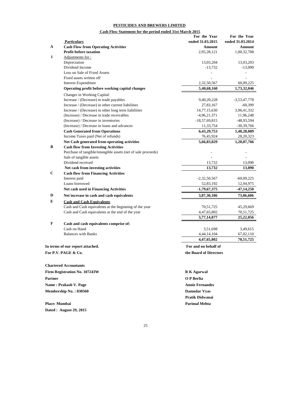# **PESTICIDES AND BREWERS LIMITED**

| Cash Flow Statement for the period ended 31st March 2015 |  |
|----------------------------------------------------------|--|
|                                                          |  |

|             | Particulars                                                   | For the Year<br>ended 31.03.2015 | For the Year<br>ended 31.03.2014 |
|-------------|---------------------------------------------------------------|----------------------------------|----------------------------------|
| A           | <b>Cash Flow from Operating Activities</b>                    | <b>Amount</b>                    | <b>Amount</b>                    |
|             | <b>Profit before taxation</b>                                 | 2,95,28,121                      | 1,00,32,708                      |
| 1           | Adjustments for:                                              |                                  |                                  |
|             | Depreciation                                                  | 13,03,204                        | 13,03,203                        |
|             | Dividend Income                                               | $-13,732$                        | $-13,090$                        |
|             | Loss on Sale of Fixed Assets                                  |                                  |                                  |
|             | Fixed assets written off                                      |                                  |                                  |
|             | <b>Interest Expenditure</b>                                   | 2,32,50,567                      | 60,09,225                        |
|             | Operating profit before working capital changes               | 5,40,68,160                      | 1,73,32,046                      |
|             | Changes in Working Capital:                                   |                                  |                                  |
|             | Increase / (Decrease) in trade payables                       | 9,40,20,228                      | $-3,53,47,778$                   |
|             | Increase / (Decrease) in other current liabilities            | 27,83,167                        | $-60,399$                        |
|             | Increase / (Decrease) in other long term liabilities          | 14,77,15,630                     | 3,96,41,332                      |
|             | (Increase) / Decrease in trade receivables                    | $-4,96,21,371$                   | 11,96,248                        |
|             | (Increase) / Decrease in inventories                          | $-18,57,69,815$                  | -48,93,594                       |
|             | (Increase) / Decrease in loans and advances                   | 11,33,754                        | -30,39,766                       |
|             | <b>Cash Generated from Operations</b>                         | 6,43,29,753                      | 1,48,28,089                      |
|             | Income Taxes paid (Net of refunds)                            | 76,45,924                        | 28, 20, 323                      |
|             | Net Cash generated from operating activities                  | 5,66,83,829                      | 1,20,07,766                      |
| В           | <b>Cash flow from Investing Activities</b>                    |                                  |                                  |
|             | Purchase of tangible/intangible assets (net of sale proceeds) |                                  |                                  |
|             | Sale of tangible assets                                       |                                  |                                  |
|             | Dividend received                                             | 13,732                           | 13,090                           |
|             | Net cash from investing activities                            | 13,732                           | 13,090                           |
| $\mathbf c$ | <b>Cash flow from Financing Activities</b>                    |                                  |                                  |
|             | Interest paid                                                 | $-2,32,50,567$                   | $-60,09,225$                     |
|             | Loans borrowed                                                | 52,83,192                        | 12,94,975                        |
|             | Net cash used in Financing Activities                         | $-1,79,67,375$                   | $-47,14,250$                     |
| D           | Net increase in cash and cash equivalents                     | 3,87,30,186                      | 73,06,606                        |
| E           | <b>Cash and Cash Equivalents</b>                              |                                  |                                  |
|             | Cash and Cash equivalents at the beginning of the year        | 70,51,725                        | 45,29,669                        |
|             | Cash and Cash equivalents at the end of the year              | 4,47,65,802                      | 70,51,725                        |
|             |                                                               | 3,77,14,077                      | 25,22,056                        |
| F           |                                                               |                                  |                                  |
|             | Cash and cash equivalents comprise of:                        |                                  |                                  |
|             | Cash on Hand                                                  | 3,51,698                         | 3,49,615                         |
|             | <b>Balances with Banks</b>                                    | 4,44,14,104                      | 67,02,110                        |
|             |                                                               | 4,47,65,802                      | 70,51,725                        |
|             | In terms of our report attached.                              | For and on behalf of             |                                  |
|             | For P.V. PAGE & Co.                                           | the Board of Directors           |                                  |

**Chartered Accountants**  Firm Registration No. 107243W R K Agarwal **Partner O P Berlia Name : Prakash V. Page Annie Fernandes Membership No. : 030560** Damodar Vyas

**Place: Mumbai Parimal Mehta Dated : August 29, 2015** 

 **Pratik Didwanai**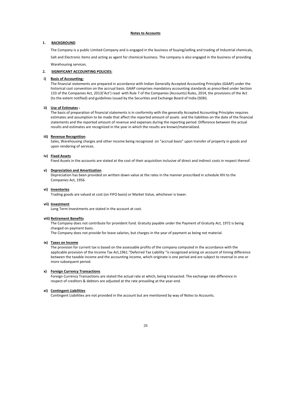## **Notes to Accounts**

# **1. BACKGROUND**

The Company is a public Limited Company and is engaged in the business of buying/selling and trading of Industrial chemicals, Salt and Electronic items and acting as agent for chemical business. The company is also engaged in the business of providing

Warehousing services.

# **2. SIGNIFICANT ACCOUNTING POLICIES:**

# **i) Basis of Accounting:**

The financial statements are prepared in accordance with Indian Generally Accepted Accounting Principles (GAAP) under the historical cost convention on the accrual basis. GAAP comprises mandatory accounting standards as prescribed under Section 133 of the Companies Act, 2013('Act') read with Rule 7 of the Companies (Accounts) Rules, 2014, the provisions of the Act (to the extent notified) and guidelines issued by the Securities and Exchange Board of India (SEBI).

# **ii) Use of Estimates :**

The basis of preparation of financial statements is in conformity with the generally Accepted Accounting Principles requires estimates and assumption to be made that affect the reported amount of assets and the liabilities on the date of the financial statements and the reported amount of revenue and expenses during the reporting period. Difference between the actual results and estimates are recognized in the year in which the results are known/materialized.

# **iii) Revenue Recognition**

Sales, Warehousing charges and other income being recognized on "accrual basis" upon transfer of property in goods and upon rendering of services.

# **iv) Fixed Assets**

Fixed Assets in the accounts are stated at the cost of their acquisition inclusive of direct and indirect costs in respect thereof.

# **v) Depreciation and Amortization**

Depreciation has been provided on written down value at the rates in the manner prescribed in schedule XIV to the Companies Act, 1956.

# **vi) Inventories**

Trading goods are valued at cost (on FIFO basis) or Market Value, whichever is lower.

# **vii) Investment**

Long Term Investments are stated in the account at cost.

# **viii) Retirement Benefits**

The Company does not contribute for provident fund. Gratuity payable under the Payment of Gratuity Act, 1972 is being charged on payment basis.

The Company does not provide for leave salaries, but charges in the year of payment as being not material.

# **ix) Taxes on Income**

The provision for current tax is based on the assessable profits of the company computed in the accordance with the applicable provision of the Income Tax Act,1961."Deferred Tax Liability "is recognized arising on account of timing difference between the taxable income and the accounting income, which originate is one period and are subject to reversal in one or more subsequent period.

# **x) Foreign Currency Transactions**

Foreign Currency Transactions are stated the actual rate at which, being transacted. The exchange rate difference in respect of creditors & debtors are adjusted at the rate prevailing at the year‐end.

# **xi) Contingent Liabilities**

Contingent Liabilities are not provided in the account but are mentioned by way of Notes to Accounts.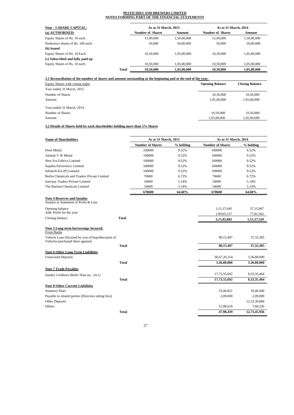#### **PESTICIDES AND BREWERS LIMITED NOTES FORMING PART OF THE FINANCIAL STATEMENTS**

| Note - 3 SHARE CAPITAL:            |              | As at 31 March, 2015 |             | As at 31 March, 2014    |             |
|------------------------------------|--------------|----------------------|-------------|-------------------------|-------------|
| (a) AUTHORISED:                    |              | Number of Shares     | Amount      | <b>Number of Shares</b> | Amount      |
| Equity Shares of Rs. 10 each.      |              | 15,00,000            | 1,50,00,000 | 15,00,000               | 1,50,00,000 |
| Preference shares of Rs. 100 each. |              | 50,000               | 50,00,000   | 50,000                  | 50,00,000   |
| (b) Issued                         |              |                      |             |                         |             |
| Equity Shares of Rs. 10 Each.      |              | 10,50,000            | 1.05.00.000 | 10.50,000               | 1,05,00,000 |
| (c) Subscribed and fully paid up   |              |                      |             |                         |             |
| Equity Shares of Rs. 10 each.      |              | 10.50,000            | 1.05.00.000 | 10.50,000               | 1.05.00.000 |
|                                    | <b>Total</b> | 10.50.000            | 1.05.00.000 | 10.50.000               | 1.05.00.000 |

| 3.1 Reconciliation of the number of shares and amount outstanding at the beginning and at the end of the year: |                        |                        |  |  |  |
|----------------------------------------------------------------------------------------------------------------|------------------------|------------------------|--|--|--|
| Equity Shares with voting rights                                                                               | <b>Opening Balance</b> | <b>Closing Balance</b> |  |  |  |
| Year ended 31 March, 2015                                                                                      |                        |                        |  |  |  |
| Number of Shares                                                                                               | 10,50,000              | 10,50,000              |  |  |  |
| Amount                                                                                                         | 1,05,00,000            | 1,05,00,000            |  |  |  |
| Year ended 31 March, 2014                                                                                      |                        |                        |  |  |  |
| Number of Shares                                                                                               | 10,50,000              | 10,50,000              |  |  |  |
| Amount                                                                                                         | 1,05,00,000            | 1,05,00,000            |  |  |  |
|                                                                                                                |                        |                        |  |  |  |

# **3.2 Details of Shares held by each shareholder holding more than 5% Shares**

|                                                                                       |              |                         |           | As at 31 March, 2014    |                |
|---------------------------------------------------------------------------------------|--------------|-------------------------|-----------|-------------------------|----------------|
|                                                                                       |              | <b>Number of Shares</b> | % holding | <b>Number of Shares</b> | % holding      |
| <b>Preet Mittal</b>                                                                   |              | 100000                  | 9.52%     | 100000                  | 9.52%          |
| Amitab V W Mittal                                                                     |              | 100000                  | 9.52%     | 100000                  | 9.52%          |
| New Era Fabrics Limited                                                               |              | 100000                  | 9.52%     | 100000                  | 9.52%          |
| Sujatha Electronics Limited                                                           |              | 100000                  | 9.52%     | 100000                  | 9.52%          |
| Infotech Era (P) Limited                                                              |              | 100000                  | 9.52%     | 100000                  | 9.52%          |
| Berlia Chemicals and Traders Private Limited                                          |              | 70600                   | 6.72%     | 70600                   | 6.72%          |
| Satvijay Traders Private Limited                                                      |              | 54000                   | 5.14%     | 54000                   | 5.14%          |
| The Barium Chemicals Limited                                                          |              | 54000                   | 5.14%     | 54000                   | 5.14%          |
|                                                                                       |              | 678600                  | 64.60%    | 678600                  | 64.60%         |
| <b>Note 4 Reserves and Surplus</b><br>Surplus in Statement of Profit & Loss           |              |                         |           |                         |                |
| Opening balance                                                                       |              |                         |           | 1,15,37,645             | 37,55,967      |
| Add: Profit for the year                                                              |              |                         |           | 1,99,65,157             | 77,81,562      |
| Closing balance                                                                       | <b>Total</b> |                         |           | 3,15,02,802             | 1,15,37,529    |
| <b>Note 5 Long-term borrowings Secured:</b><br>From Banks                             |              |                         |           |                         |                |
| Vehicle Loan (Secured by way of hypothecation of<br>Vehicles purchased there against) |              |                         |           | 90,15,497               | 37, 32, 305    |
|                                                                                       | <b>Total</b> |                         |           | 90,15,497               | 37, 32, 305    |
| <b>Note 6 Other Long Term Liabilities</b>                                             |              |                         |           |                         |                |
| <b>Unsecured Deposits</b>                                                             |              |                         |           | 30,67,26,314            | 3,36,80,000    |
|                                                                                       | <b>Total</b> |                         |           | 3,36,80,000             | 3,36,80,000    |
| <b>Note 7 Trade Payables</b>                                                          |              |                         |           |                         |                |
| Sundry Creditors (Refer Note no.: 24.1)                                               |              |                         |           | 17,73,55,692            | 8, 33, 35, 464 |
|                                                                                       | <b>Total</b> |                         |           | 17,73,55,692            | 8,33,35,464    |
| <b>Note 8 Other Current Liabilities</b>                                               |              |                         |           |                         |                |
| <b>Statutory Dues</b>                                                                 |              |                         |           | 33,00,821               | 10,46,046      |
| Payable to related parties (Directors sitting fees)                                   |              |                         |           | 2,09,000                | 2,09,000       |
| Other Deposits                                                                        |              |                         |           |                         | 12,53,30,684   |
| Others                                                                                |              |                         |           | 12,88,618               | 7,60,226       |
|                                                                                       | <b>Total</b> |                         |           | 47,98,439               | 12,73,45,956   |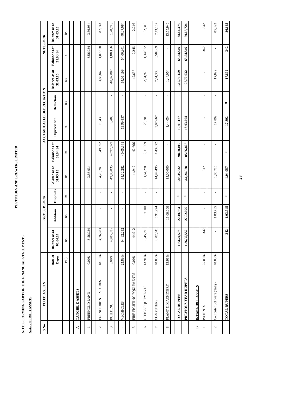PESTICIDES AND BREWERS LIMITED **PESTICIDES AND BREWERS LIMITED**

# NOTES FORMING PART OF THE FINANCIAL STATEMENTS **NOTES FORMING PART OF THE FINANCIAL STATEMENTS**

Note - 9 FIXED ASSETS **Note - 9 FIXED ASSETS**

| S.No.          | FIXED ASSETS              |                 |                           | <b>GROSS BLOCK</b> |           |                           |                           | ACCUMULATED DEPRECIATION |           |                           | <b>NET BLOCK</b>          |                           |
|----------------|---------------------------|-----------------|---------------------------|--------------------|-----------|---------------------------|---------------------------|--------------------------|-----------|---------------------------|---------------------------|---------------------------|
|                |                           | Rate of<br>Depn | Balance as at<br>01.04.14 | Addition           | Disposals | Balance as at<br>31.03.15 | Balance as at<br>01.04.14 | Depreciation             | Deduction | Balance as at<br>31.03.15 | Balance as at<br>31.03.14 | Balance as at<br>31.03.15 |
|                |                           | (%)             | Rs.                       | Rs.                | Rs.       | Rs.                       | Rs.                       | Rs.                      | ŘS.       | Rs.                       | Rs.                       | Rs.                       |
|                |                           |                 |                           |                    |           |                           |                           |                          |           |                           |                           |                           |
| ∢              | TANGIBLE ASSETS           |                 |                           |                    |           |                           |                           |                          |           |                           |                           |                           |
|                |                           |                 |                           |                    |           |                           |                           |                          |           |                           |                           |                           |
|                | FREEHOLD LAND             | 0.00%           | ,56,934                   |                    | ï         | 3,56,934                  |                           |                          |           |                           | 3,56,934                  | 3,56,934                  |
|                |                           |                 |                           |                    |           |                           |                           |                          |           |                           |                           |                           |
| $\sim$         | FURNITURE & FIXTURES      | 18.10%          | 1,76,783                  |                    | ×,        | 4,76,783                  | 3,49,392                  | 19,435                   |           | 3,88,840                  | 1,07,378                  | 87,943                    |
|                |                           |                 |                           |                    |           |                           |                           |                          |           |                           |                           |                           |
| $\epsilon$     | <b>BUILDING</b>           | 5.00%           | 49,85,835                 |                    | ×,        | 49,85,835                 | 47,97,679                 | 9,408                    |           | 48,07,087                 | 1,88,156                  | 1,78,748                  |
| 4              | VECHICLES                 | 25.89%          | 94,12,282                 |                    |           | 94,12,282                 | 40,05,341                 | 13,99,857                |           | 54,05,198                 | 54,06,941                 | 40,07,084                 |
|                |                           |                 |                           |                    |           |                           |                           |                          |           |                           |                           |                           |
| $\mathbf{r}$   | FIRE FIGHTING EQUIPMENTS  | 0.00%           | 44,912                    |                    |           | 44,912                    | 42,666                    |                          |           | 42,666                    | 2,246                     | 2,246                     |
|                |                           |                 |                           |                    |           |                           |                           |                          |           |                           |                           |                           |
| $\circ$        | OFFICE EQUIPMENTS         | 13.91%          | 3,45,291                  | 19,000             | t         | 3,64,291                  | 2,11,269                  | 20,706                   |           | 2,31,975                  | 1,34,022                  | 1,32,316                  |
|                |                           |                 |                           |                    |           |                           |                           |                          |           |                           |                           |                           |
| $\overline{ }$ | COMPUTERS                 | 40.00%          | 3,02,541                  | 6,91,954           | ï         | 14,94,495                 | 4,43,672                  | 3,07,667                 |           | 7,51,338                  | 3,58,869                  | 7,43,157                  |
|                |                           |                 |                           |                    |           |                           |                           |                          |           |                           |                           |                           |
| ${}^{\infty}$  | PLANT & MACHINERY         | 13.91%          |                           | 15,00,000          | ı         | 15,00,000                 | ı                         | 1,44,054                 |           | 1,44,054                  | ×,                        | 13,55,946                 |
|                | <b>TOTAL RUPEES</b>       |                 | ,24,578<br>1,64,          | 22,10,954          | $\bullet$ | 1,86,35,532               | 98,50,019                 | 19,01,127                |           | 1,17,71,159               | 65,54,546                 | 68,64,373                 |
|                | PREVIOUS YEAR RUPEES      |                 | 32,552<br>1,36,           | 27,92,026          | $\bullet$ | 1,64,24,578               | 85,66,828                 | 13,03,204                |           | 98,70,032                 | 65,54,546                 | 50,65,724                 |
|                |                           |                 |                           |                    |           |                           |                           |                          |           |                           |                           |                           |
| m              | INTANGIBLE ASSETS         |                 |                           |                    |           |                           |                           |                          |           |                           |                           |                           |
| $\overline{ }$ | <b>PATENTS</b>            | 25.00%          | 342                       |                    |           | 342                       |                           |                          |           |                           | 342                       | 342                       |
|                |                           |                 |                           |                    |           |                           |                           |                          |           |                           |                           |                           |
| $\sim$         | Computer Software (Tally) | 40.00%          |                           | 1,03,715           |           | 1,03,715                  |                           | 17,892                   |           | 17,892                    |                           | 85,823                    |
|                | <b>TOTAL RUPEES</b>       |                 | 342                       | 1,03,715           | $\bullet$ | 1,04,057                  | $\bullet$                 | 17,892                   | $\bullet$ | 17,892                    | 342                       | 86,165                    |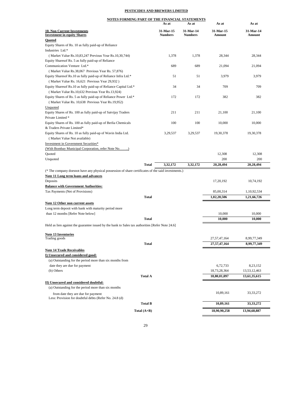# **PESTICIDES AND BREWERS LIMITED**

| NOTES FORMING PART OF THE FINANCIAL STATEMENTS                                                                                                     |                          |                |              |              |
|----------------------------------------------------------------------------------------------------------------------------------------------------|--------------------------|----------------|--------------|--------------|
|                                                                                                                                                    | As at                    | As at          | As at        | As at        |
| <b>10. Non Current Investments</b>                                                                                                                 | 31-Mar-15                | 31-Mar-14      | 31-Mar-15    | 31-Mar-14    |
| <b>Investment in equity Shares</b>                                                                                                                 | <b>Numbers</b>           | <b>Numbers</b> | Amount       | Amount       |
| Quoted                                                                                                                                             |                          |                |              |              |
| Equity Shares of Rs. 10 as fully paid-up of Reliance                                                                                               |                          |                |              |              |
| Industries Ltd.*                                                                                                                                   |                          |                |              |              |
| (Market Value Rs. 10, 83, 247 Previous Year Rs. 10, 30, 744)                                                                                       | 1,378                    | 1,378          | 28,344       | 28,344       |
| Equity Sharesof Rs. 5 as fully paid-up of Reliance                                                                                                 |                          |                |              |              |
| Communication Venture Ltd.*                                                                                                                        | 689                      | 689            | 21,094       | 21,094       |
| (Market Value Rs.38,067 Previous Year Rs. 57,876)                                                                                                  |                          |                |              |              |
| Equity Sharesof Rs.10 as fully paid-up of Reliance Infra Ltd.*                                                                                     | 51                       | 51             | 3,979        | 3,979        |
| (Market Value Rs. 16,621 Previous Year 29,932)                                                                                                     |                          |                |              |              |
| Equity Sharesof Rs.10 as fully paid-up of Reliance Capital Ltd.*                                                                                   | 34                       | 34             | 709          | 709          |
| (Market Value Rs.10,632 Previous Year Rs.13,924)                                                                                                   |                          |                |              |              |
| Equity Shares of Rs. 5 as fully paid-up of Reliance Power Ltd.*                                                                                    | 172                      | 172            | 382          | 382          |
| (Market Value Rs. 10,638 Previous Year Rs. 19,952)                                                                                                 |                          |                |              |              |
| Unquoted                                                                                                                                           |                          |                |              |              |
| Equity Shares of Rs. 100 as fully paid-up of Satvijay Traders                                                                                      | 211                      | 211            | 21,100       | 21.100       |
| Private Limited *                                                                                                                                  |                          |                |              |              |
| Equity Shares of Rs. 100 as fully paid-up of Berlia Chemicals<br>& Traders Private Limited*                                                        | 100                      | 100            | 10,000       | 10,000       |
|                                                                                                                                                    |                          |                |              |              |
| Equity Shares of Rs. 10 as fully paid-up of Wavin India Ltd.                                                                                       | 3,29,537                 | 3,29,537       | 19,30,378    | 19,30,378    |
| (Market Value Not available)                                                                                                                       |                          |                |              |              |
| Investment in Government Securities*<br>(With Bombay Municipal Corporation, refer Note No)                                                         |                          |                |              |              |
| Quoted                                                                                                                                             |                          |                | 12,308       | 12,308       |
| Unquoted                                                                                                                                           |                          |                | 200          | 200          |
|                                                                                                                                                    | <b>Total</b><br>3,32,172 | 3,32,172       | 20,28,494    | 20,28,494    |
|                                                                                                                                                    |                          |                |              |              |
| (* The company doesnot have any physical possession of share certificates of the said investments.)<br><b>Note 11 Long term loans and advances</b> |                          |                |              |              |
| Deposits                                                                                                                                           |                          |                | 17,20,192    | 10,74,192    |
| <b>Balance with Government Authorities:</b>                                                                                                        |                          |                |              |              |
| Tax Payments (Net of Provisions)                                                                                                                   |                          |                | 85,00,314    | 1,10,92,534  |
|                                                                                                                                                    | <b>Total</b>             |                | 1,02,20,506  | 1,21,66,726  |
|                                                                                                                                                    |                          |                |              |              |
| <b>Note 12 Other non current assets</b>                                                                                                            |                          |                |              |              |
| Long term deposit with bank with maturity period more                                                                                              |                          |                |              |              |
| than 12 months [Refer Note below]                                                                                                                  |                          |                | 10.000       | 10,000       |
|                                                                                                                                                    | <b>Total</b>             |                | 10,000       | 10,000       |
| Held as lien against the guarantee issued by the bank to Sales tax authorities [Refer Note 24.6]                                                   |                          |                |              |              |
|                                                                                                                                                    |                          |                |              |              |
| <b>Note 13 Inventories</b><br>Trading goods                                                                                                        |                          |                | 27,57,47,164 | 8,99,77,349  |
|                                                                                                                                                    | <b>Total</b>             |                | 27,57,47,164 | 8,99,77,349  |
|                                                                                                                                                    |                          |                |              |              |
| <b>Note 14 Trade Receivables</b>                                                                                                                   |                          |                |              |              |
| I) Unsecured and considered good:                                                                                                                  |                          |                |              |              |
| (a) Outstanding for the period more than six months from                                                                                           |                          |                |              |              |
| date they are due for payment<br>(b) Others                                                                                                        |                          |                | 6,72,733     | 8,23,152     |
|                                                                                                                                                    |                          |                | 18,73,28,364 | 13,53,12,463 |
|                                                                                                                                                    | <b>Total A</b>           |                | 18,80,01,097 | 13,61,35,615 |
| <b>II)</b> Unsecured and considered doubtful:<br>(a) Outstanding for the period more than six months                                               |                          |                |              |              |
| from date they are due for payment<br>Less: Provision for doubtful debts (Refer No. 24.8 (d)                                                       |                          |                | 10,89,161    | 33, 33, 272  |
|                                                                                                                                                    | <b>Total B</b>           |                | 10,89,161    | 33, 33, 272  |
|                                                                                                                                                    | Total $(A+B)$            |                | 18,90,90,258 | 13,94,68,887 |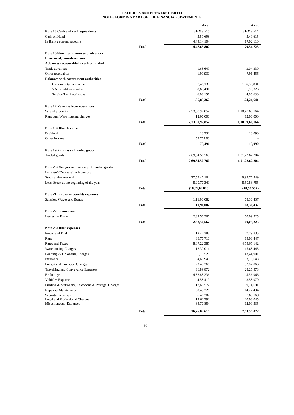#### **PESTICIDES AND BREWERS LIMITED NOTES FORMING PART OF THE FINANCIAL STATEMENTS**

|                                                     |              | As at               | As at          |
|-----------------------------------------------------|--------------|---------------------|----------------|
| Note 15 Cash and cash equivalents                   |              | 31-Mar-15           | 31-Mar-14      |
| Cash on Hand                                        |              | 3,51,698            | 3,49,615       |
| In Bank: current accounts                           |              | 4, 44, 14, 104      | 67,02,110      |
|                                                     | <b>Total</b> | 4,47,65,802         | 70,51,725      |
| <b>Note 16 Short term loans and advances</b>        |              |                     |                |
| Unsecured, considered good                          |              |                     |                |
| <b>Advances recoverable in cash or in kind</b>      |              |                     |                |
| Trade advances                                      |              | 1,68,649            | 3,04,339       |
| Other receivables                                   |              | 1,91,930            | 7,96,455       |
| <b>Balances with government authorities</b>         |              |                     |                |
| Custom duty receivable                              |              | 88,46,135           | 1,06,55,891    |
| VAT credit receivable                               |              | 8,68,491            | 1,98,326       |
| Service Tax Receivable                              |              | 6,08,157            | 4,66,630       |
|                                                     | <b>Total</b> | 1,06,83,362         | 1,24,21,641    |
| <b>Note 17 Revenue from operations</b>              |              |                     |                |
| Sale of products                                    |              | 2,73,68,97,852      | 1,10,47,60,164 |
| Rent cum Ware housing charges                       |              | 12,00,000           | 12,00,000      |
|                                                     | <b>Total</b> | 2,73,80,97,852      | 1,10,59,60,164 |
|                                                     |              |                     |                |
| <b>Note 18 Other Income</b><br>Dividend             |              |                     | 13,090         |
| Other Income                                        |              | 13,732<br>59,764.00 |                |
|                                                     |              | 73,496              |                |
|                                                     | <b>Total</b> |                     | 13,090         |
| <b>Note 19 Purchase of traded goods</b>             |              |                     |                |
| Traded goods                                        |              | 2,69,54,50,760      | 1,01,22,62,204 |
|                                                     | <b>Total</b> | 2,69,54,50,760      | 1,01,22,62,204 |
| <b>Note 20 Changes in inventory of traded goods</b> |              |                     |                |
| Increase/ (Decrease) in inventory                   |              |                     |                |
| Stock at the year end                               |              | 27, 57, 47, 164     | 8,99,77,349    |
| Less: Stock at the beginning of the year            |              | 8,99,77,349         | 8,50,83,755    |
|                                                     | <b>Total</b> | (18,57,69,815)      | (48, 93, 594)  |
| <b>Note 21 Employee benefits expenses</b>           |              |                     |                |
| Salaries, Wages and Bonus                           |              | 1,11,90,082         | 68, 30, 437    |
|                                                     | Total        | 1,11,90,082         | 68,30,437      |
| <b>Note 22 Finance cost</b>                         |              |                     |                |
| <b>Interest to Banks</b>                            |              | 2,32,50,567         | 60,09,225      |
|                                                     | <b>Total</b> | 2,32,50,567         | 60,09,225      |
| <b>Note 23 Other expenses</b>                       |              |                     |                |
| Power and Fuel                                      |              | 12,47,388           | 7,79,835       |
| Rent                                                |              | 38, 76, 710         | 19,08,447      |
| Rates and Taxes                                     |              | 8,87,22,385         | 4,59,65,142    |
| <b>Warehousing Charges</b>                          |              | 13,30,014           | 15,68,445      |
| Loading & Unloading Charges                         |              | 36,79,528           | 43,44,901      |
| Insurance                                           |              | 4,68,945            | 3,78,648       |
| Freight and Transport Charges                       |              | 23,48,366           | 92,82,066      |
| Travelling and Conveyance Expenses                  |              | 36,89,872           | 28, 27, 978    |
| <b>Brokerage</b>                                    |              | 4,33,88,236         | 5,56,966       |
| <b>Vehicles Expenses</b>                            |              | 4,58,419            | 3,58,970       |
| Printing & Stationery, Telephone & Postage Charges  |              | 17,68,572           | 9,74,691       |
| Repair & Maintenance                                |              | 30,49,226           | 14,22,434      |
| <b>Security Expenses</b>                            |              | 6,41,307            | 7,68,169       |
| <b>Legal and Professional Charges</b>               |              | 14,62,792           | 20,08,045      |
| Miscellaneous Expenses                              |              | 64,70,854           | 12,09,335      |
|                                                     | <b>Total</b> | 16,26,02,614        | 7,43,54,072    |
|                                                     |              |                     |                |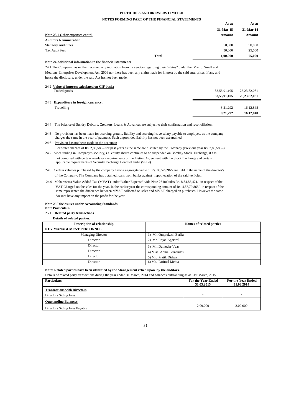# **PESTICIDES AND BREWERS LIMITED**

# **NOTES FORMING PART OF THE FINANCIAL STATEMENTS**

|                                 |              | As at     | As at     |
|---------------------------------|--------------|-----------|-----------|
|                                 |              | 31-Mar-15 | 31-Mar-14 |
| Note 23.1 Other expenses contd. |              | Amount    | Amount    |
| <b>Auditors Remuneration</b>    |              |           |           |
| <b>Statutory Audit fees</b>     |              | 50,000    | 50,000    |
| Tax Audit fees                  |              | 50,000    | 25,000    |
|                                 | <b>Total</b> | 1,00,000  | 75,000    |

# **Note 24 Additional information to the financial statements**

24.1 The Company has neither received any intimation from its vendors regarding their "status" under the Macro, Small and Medium Enterprises Development Act, 2006 nor there has been any claim made for interest by the said enterprises, if any and hence the disclosure, under the said Act has not been made.

| 24.2 Value of imports calculated on CIF basis:<br>Traded goods | 33,55,91,105 | 25, 23, 82, 081 |
|----------------------------------------------------------------|--------------|-----------------|
|                                                                | 33,55,91,105 | 25, 23, 82, 081 |
| 24.3 Expenditure in foreign currency:                          |              |                 |
| Travelling                                                     | 8.21.292     | 16, 12, 848     |
|                                                                | 8.21.292     | 16, 12, 848     |
|                                                                |              |                 |

24.4 The balance of Sundry Debtors, Creditors, Loans & Advances are subject to their confirmation and reconciliation.

24.5 No provision has been made for accruing gratuity liability and accruing leave salary payable to employee, as the company charges the same in the year of payment. Such unprovided liability has not been ascertained.

24.6 Provision has not been made in the accounts: For water charges of Rs. 2,83,585/- for past years as the same are disputed by the Company (Previous year Rs. 2,83,585/-)

- 24.7 Since trading in Company's security, i.e. equity shares continues to be suspended on Bombay Stock Exchange, it has not complied with certain regulatory requirements of the Listing Agreement with the Stock Exchange and certain applicable requirements of Security Exchange Board of India (SEBI)
- 24.8 Certain vehicles purchased by the company having aggregate value of Rs. 80,52,896/- are held in the name of the director's of the Company. The Company has obtained loans from banks against hypothecation of the said vehicles.
- 24.9 Maharashtra Value Added Tax (MVAT) under "Other Expense" vide Note 23 includes Rs. 8,84,85,421/- in respect of the VAT Charged on the sales for the year. In the earlier year the corresponding amount of Rs. 4,37,79,865/- in respect of the same represented the difference between MVAT collected on sales and MVAT charged on purchases. However the same doesnot have any impact on the profit for the year.

|  |                         | <b>Note 25 Disclosures under Accounting Standards</b> |  |
|--|-------------------------|-------------------------------------------------------|--|
|  | <b>Note Particulars</b> |                                                       |  |

# 25.1 **Related party transactions**

 **Details of related parties:** 

| <b>Description of relationship</b> | <b>Names of related parties</b> |
|------------------------------------|---------------------------------|
| <b>KEY MANAGEMENT PERSONNEL</b>    |                                 |
| Managing Director                  | 1) Mr. Omprakash Berlia         |
| Director                           | 2) Mr. Rajan Agarwal            |
| Director                           | 3) Mr. Damodar Vyas             |
| Director                           | 4) Miss. Annie Fernandes        |
| Director                           | 5) Mr. Pratik Didwani           |
| Director                           | 6) Mr. Parimal Mehta            |

**Note: Related parties have been identified by the Management relied upon by the auditors.** 

Details of related party transactions during the year ended 31 March, 2014 and balances outstanding as at 31st March, 2015

| <b>Particulars</b>                 | <b>For the Year Ended</b> | <b>For the Year Ended</b> |
|------------------------------------|---------------------------|---------------------------|
|                                    | 31.03.2015                | 31.03.2014                |
| <b>Transactions with Directors</b> |                           |                           |
| <b>Directors Sitting Fees</b>      | -                         |                           |
| <b>Outstanding Balances</b>        |                           |                           |
| Directors Sitting Fees Payable     | 2.09.000                  | 2.09.000                  |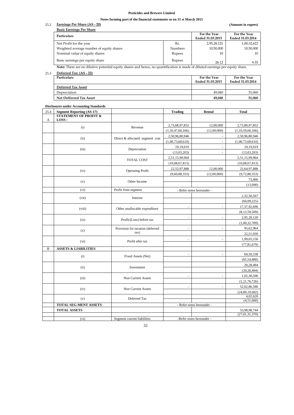# **Pesticides and Brewers Limited**

# **Notes forming part of the financial statements as on 31 st March 2015**

25.2 **Earnings Per Share (AS - 20) (Amount in rupees) Basic Earnings Per Share**

| Dasic Earlings Fer Share                 |         |                                  |                                  |  |  |  |
|------------------------------------------|---------|----------------------------------|----------------------------------|--|--|--|
| Particulars                              |         | For the Year<br>Ended 31.03.2015 | For the Year<br>Ended 31.03.2014 |  |  |  |
| Net Profit for the year                  | Rs.     | 2,95,28,121                      | 1,00,32,622                      |  |  |  |
| Weighted average number of equity shares | Numbers | 10,50,000                        | 10,50,000                        |  |  |  |
| Nominal value of equity shares           | Rupees  | 10                               | 10                               |  |  |  |
| Basic earnings per equity share          | Rupees  | 28.12                            | 9.55                             |  |  |  |

**Note:** There are no dilutive potential equity shares and hence, no quantification is made of diluted earnings per equity share.

25.3 **Deferred Tax: (AS - 22)**

| <b>Particulars</b>        | For the Year<br>Ended 31.03.2015 | For the Year<br>Ended 31.03.2014 |
|---------------------------|----------------------------------|----------------------------------|
| <b>Deferred Tax Asset</b> |                                  |                                  |
| Depreciation              | 49.040                           | 51,060                           |
| Net Defferred Tax Asset   | 49.040                           | 51.060                           |

# **Disclosures under Accounting Standards**

| 25.4 | <b>Segment Reporting (AS-17)</b>          |                                  | <b>Trading</b>   | Rental                    | <b>Total</b>               |
|------|-------------------------------------------|----------------------------------|------------------|---------------------------|----------------------------|
| А    | <b>STATEMENT OF PROFIT &amp;</b><br>LOSS: |                                  |                  |                           |                            |
|      | (i)                                       | Revenue                          | 2,73,68,97,852   | 12,00,000                 | 2,73,80,97,852             |
|      |                                           |                                  | (1,10,47,60,166) | (12,00,000)               | (1,10,59,60,166)           |
|      |                                           | Direct & allocated segment cost  | 2,50,96,80,946   |                           | 2,50,96,80,946             |
|      | (ii)                                      |                                  | (1,00,73,68,610) | $\overline{\phantom{a}}$  | (1,00,73,68,610)           |
|      | (iii)                                     | Depreciation                     | 19,19,019        | ÷,                        | 19,19,019                  |
|      |                                           |                                  | (13,03,203)      | $\sim$                    | (13,03,203)                |
|      |                                           | <b>TOTAL COST</b>                | 2,51,15,99,964   |                           | 2,51,15,99,964             |
|      |                                           |                                  | (10,08,67,813)   |                           | (10,08,67,813)             |
|      |                                           |                                  | 22,52,97,888     | 12,00,000                 | 22,64,97,888               |
|      | (iv)                                      | <b>Operating Profit</b>          | (9,60,88,353)    | (12,00,000)               | (9,72,88,353)              |
|      |                                           | Other Income                     |                  |                           | 73,496                     |
|      | (v)                                       |                                  |                  |                           | (13,090)                   |
|      | (vi)                                      | Profit from segment              |                  | - Refer notes hereunder - |                            |
|      |                                           | Interest                         |                  |                           | 2,32,50,567                |
|      | (vii)                                     |                                  |                  |                           | (60,09,225)                |
|      | (viii)                                    | Other unallocable expenditure    | ÷,               | ÷,                        | 17,37,92,696               |
|      |                                           |                                  |                  |                           | (8, 12, 59, 509)           |
|      | (ix)                                      | Profit/(Loss) before tax         | ä,               | ÷.                        | 2,95,28,120                |
|      |                                           |                                  |                  |                           | (1,00,32,709)              |
|      | (x)                                       | Provision for taxation (deferred | L,               | ä,                        | 95,62,964                  |
|      |                                           | $\tan$ )                         |                  |                           | 22,51,030                  |
|      | (xi)                                      | Profit after tax                 | L.               | L.                        | 1,99,65,156                |
|      |                                           |                                  |                  |                           | (77, 81, 679)              |
| B    | <b>ASSETS &amp; LIABILITIES</b>           |                                  |                  |                           |                            |
|      | (i)                                       | Fixed Assets (Net)               | $\sim$           | $\blacksquare$            | 69,50,538                  |
|      |                                           |                                  |                  |                           | (65, 54, 888)              |
|      | (ii)                                      | Investment                       |                  |                           | 20,28,494                  |
|      |                                           |                                  |                  |                           | (20, 28, 494)              |
|      | (iii)                                     | Non Current Assets               |                  |                           | 1,02,30,506                |
|      |                                           |                                  |                  |                           | (1,21,76,726)              |
|      | (iv)                                      | Non Current Assets               |                  |                           | 52,02,86,586               |
|      |                                           |                                  |                  |                           | (24,89,19,602)<br>4,02,620 |
|      | (v)                                       | Deferred Tax                     |                  |                           | (4,51,660)                 |
|      | <b>TOTAL SEG-MENT ASSETS</b>              |                                  |                  | - Refer notes hereunder - |                            |
|      | <b>TOTAL ASSETS</b>                       |                                  |                  |                           | 53,98,98,744               |
|      |                                           |                                  |                  |                           | (27,01,31,370)             |
|      | (vi)                                      | Segment current liabilities      |                  | -Refer notes hereunder -  |                            |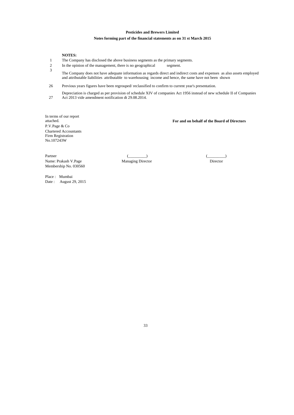# **Pesticides and Brewers Limited**

# **Notes forming part of the financial statements as on 31 st March 2015**

# **NOTES:**

- 1 The Company has disclosed the above business segments as the primary segments.
- 2 In the opinion of the management, there is no geographical segment.

3 The Company does not have adequate information as regards direct and indirect costs and expenses as also assets employed and attributable liabilities attributable to warehousing income and hence, the same have not been shown

- 26 Previous years figures have been regrouped/ reclassified to confirm to current year's presentation.
- 27 Depreciation is charged as per provision of schedule XIV of companies Act 1956 instead of new schedule II of Companies Act 2013 vide amendment notification dt 29.08.2014.

In terms of our report attached. **For and on behalf of the Board of Directors**  P.V.Page & Co Chartered Accountants Firm Registration No.107243W

Partner (\_\_\_\_\_\_\_\_\_) (\_\_\_\_\_\_\_\_\_)

Name: Prakash V.Page Managing Director Director Director

Place : Mumbai Date : August 29, 2015

Membership No. 030560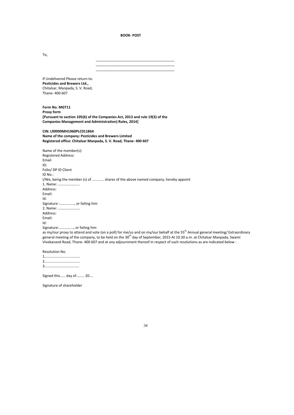# **BOOK‐ POST**

To,

 $\overline{\phantom{a}}$  ,  $\overline{\phantom{a}}$  ,  $\overline{\phantom{a}}$  ,  $\overline{\phantom{a}}$  ,  $\overline{\phantom{a}}$  ,  $\overline{\phantom{a}}$  ,  $\overline{\phantom{a}}$  ,  $\overline{\phantom{a}}$  ,  $\overline{\phantom{a}}$  ,  $\overline{\phantom{a}}$  ,  $\overline{\phantom{a}}$  ,  $\overline{\phantom{a}}$  ,  $\overline{\phantom{a}}$  ,  $\overline{\phantom{a}}$  ,  $\overline{\phantom{a}}$  ,  $\overline{\phantom{a}}$  $\frac{1}{2}$  , and the set of the set of the set of the set of the set of the set of the set of the set of the set of the set of the set of the set of the set of the set of the set of the set of the set of the set of the set

If Undelivered Please return to: **Pesticides and Brewers Ltd.,** Chitalsar, Manpada, S. V. Road, Thane‐ 400 607

**Form No. MGT11 Proxy form [Pursuant to section 105(6) of the Companies Act, 2013 and rule 19(3) of the Companies Management and Administration) Rules, 2014]**

 $\overline{\phantom{a}}$  ,  $\overline{\phantom{a}}$  ,  $\overline{\phantom{a}}$  ,  $\overline{\phantom{a}}$  ,  $\overline{\phantom{a}}$  ,  $\overline{\phantom{a}}$  ,  $\overline{\phantom{a}}$  ,  $\overline{\phantom{a}}$  ,  $\overline{\phantom{a}}$  ,  $\overline{\phantom{a}}$  ,  $\overline{\phantom{a}}$  ,  $\overline{\phantom{a}}$  ,  $\overline{\phantom{a}}$  ,  $\overline{\phantom{a}}$  ,  $\overline{\phantom{a}}$  ,  $\overline{\phantom{a}}$ 

**CIN: L99999MH1960PLC011864 Name of the company: Pesticides and Brewers Limited Registered office: Chitalsar Manpada, S. V. Road, Thane‐ 400 607**

Name of the member(s): Registered Address: Email ID: Folio/ DP ID Client ID No.: I/We, being the member (s) of …………. shares of the above named company, hereby appoint 1. Name: …………………… Address: Email: Id: Signature :……………., or failing him 2. Name: …………………… Address: Email: Id: Signature:……………., or failing him as my/our proxy to attend and vote (on a poll) for me/us and on my/our behalf at the 55<sup>th</sup> Annual general meeting/ Extraordinary general meeting of the company, to be held on the 30<sup>th</sup> day of September, 2015 At 10.30 a.m. at Chitalsar Manpada, Swami

Vivekanand Road, Thane‐ 400 607 and at any adjournment thereof in respect of such resolutions as are indicated below :

# Resolution No.

1………………………………… 2………………………………… 3………………………………..

Signed this…… day of……… 20….

Signature of shareholder